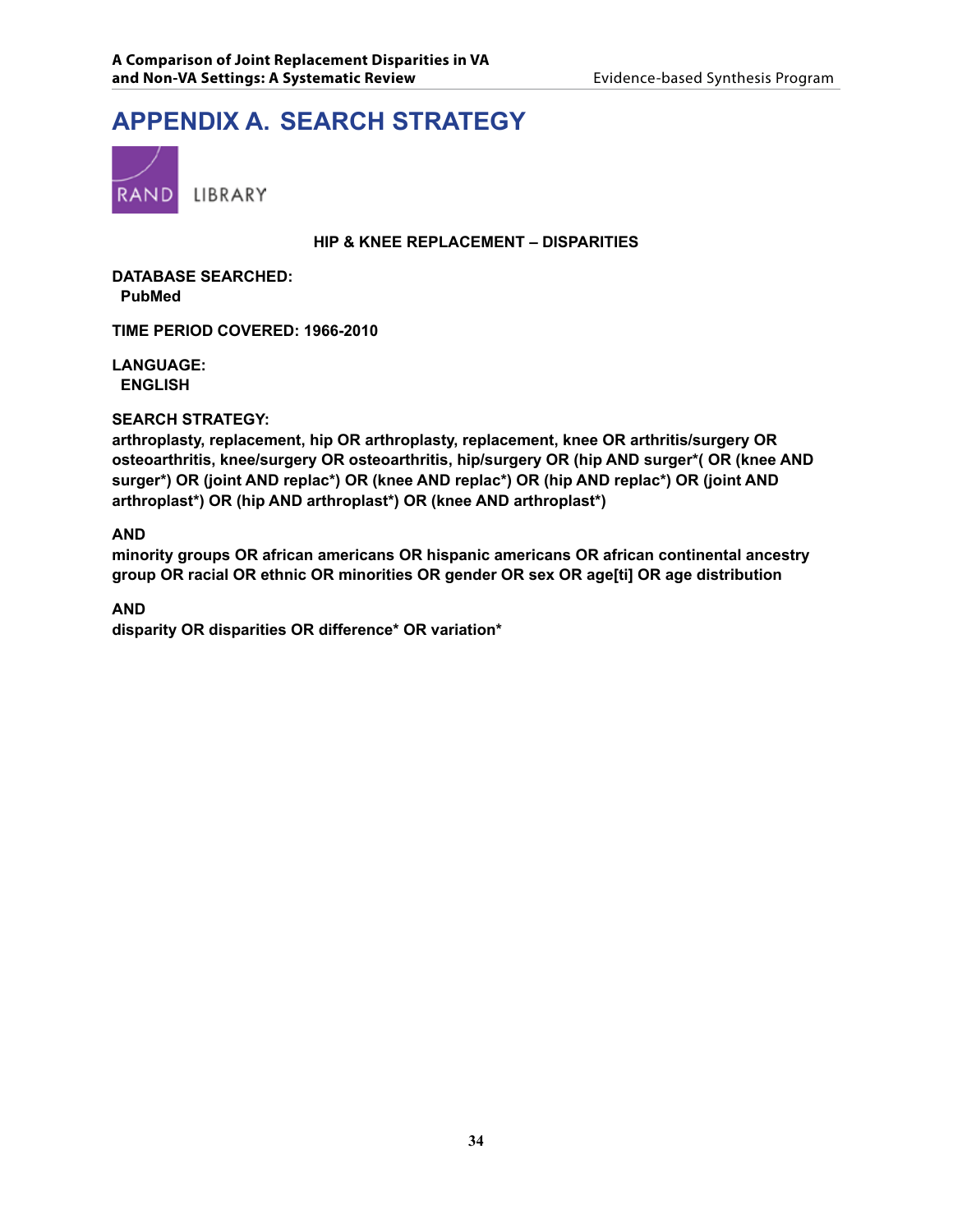# **APPENDIX A. Search Strategy**



#### **HIP & KNEE REPLACEMENT – DISPARITIES**

**DATABASE SEARCHED: PubMed**

**TIME PERIOD COVERED: 1966-2010**

**LANGUAGE: ENGLISH**

#### **SEARCH STRATEGY:**

**arthroplasty, replacement, hip OR arthroplasty, replacement, knee OR arthritis/surgery OR osteoarthritis, knee/surgery OR osteoarthritis, hip/surgery OR (hip AND surger\*( OR (knee AND surger\*) OR (joint AND replac\*) OR (knee AND replac\*) OR (hip AND replac\*) OR (joint AND arthroplast\*) OR (hip AND arthroplast\*) OR (knee AND arthroplast\*)**

**AND**

**minority groups OR african americans OR hispanic americans OR african continental ancestry group OR racial OR ethnic OR minorities OR gender OR sex OR age[ti] OR age distribution**

**AND**

**disparity OR disparities OR difference\* OR variation\***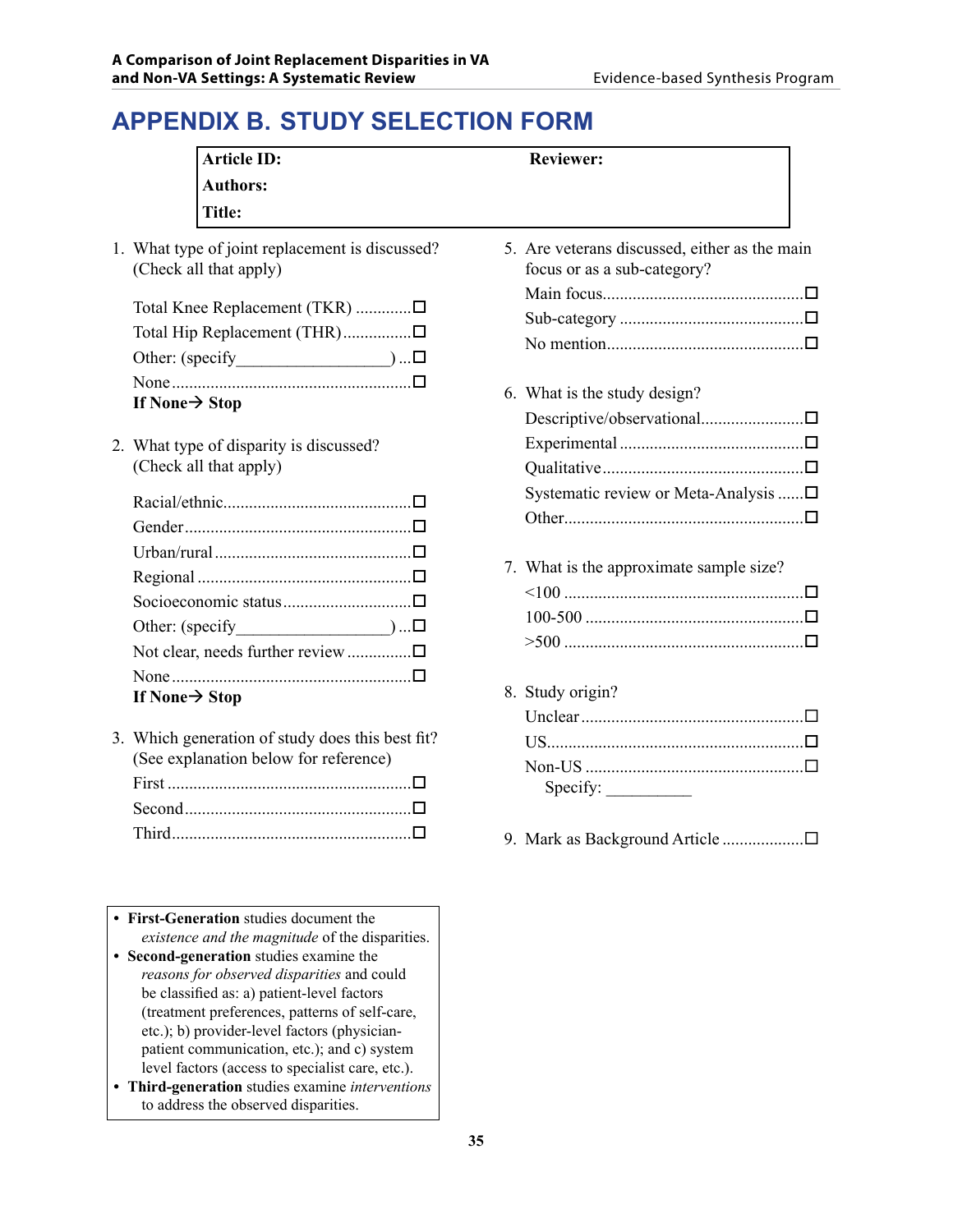# **APPENDIX B. Study Selection Form**

| <b>Reviewer:</b>                                                             |
|------------------------------------------------------------------------------|
|                                                                              |
|                                                                              |
| 5. Are veterans discussed, either as the main<br>focus or as a sub-category? |
|                                                                              |
| 6. What is the study design?                                                 |
| Systematic review or Meta-Analysis □                                         |
| 7. What is the approximate sample size?                                      |
| 8. Study origin?                                                             |
| Specify:                                                                     |
| 9. Mark as Background Article                                                |
|                                                                              |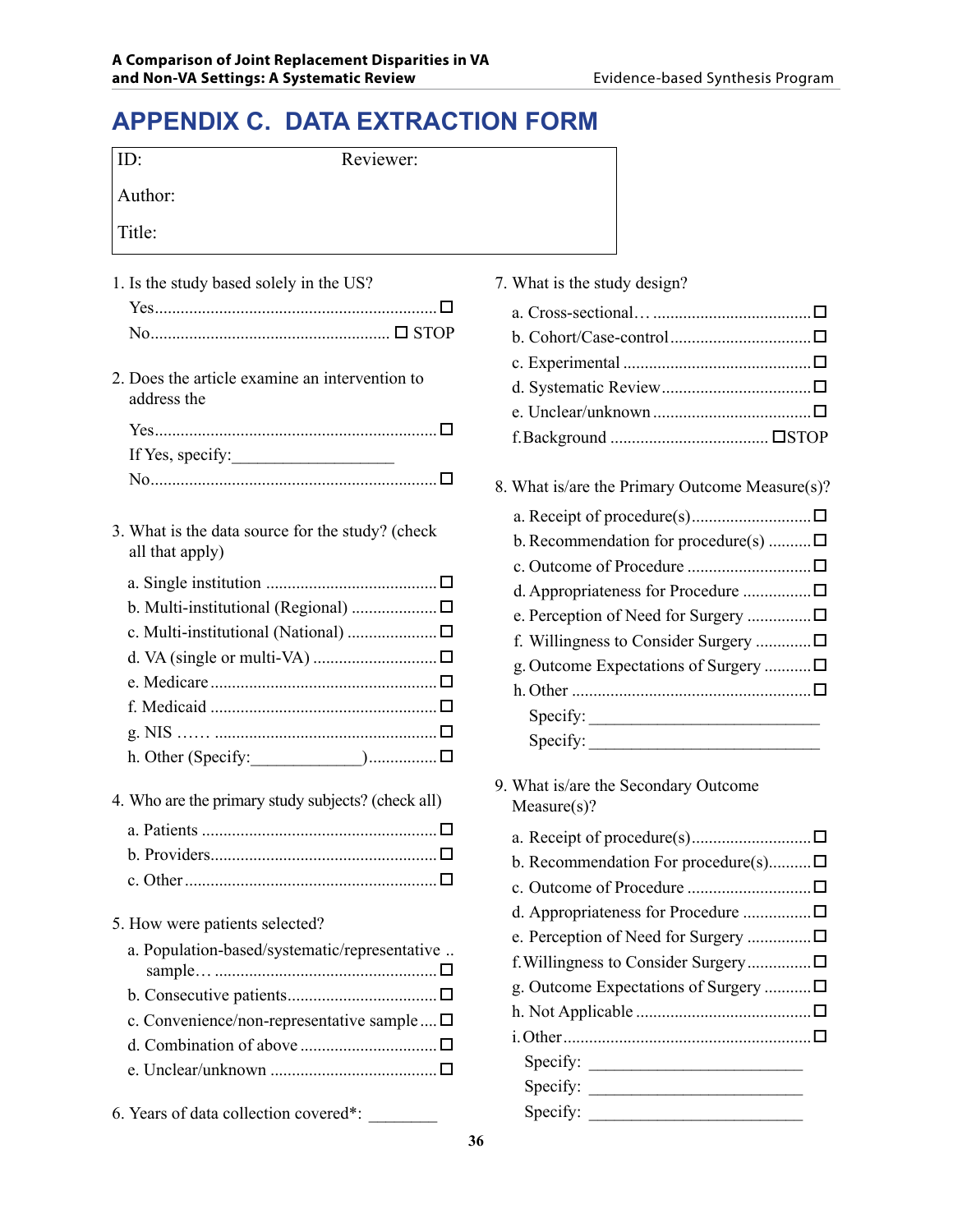## **APPENDIX C. Data Extraction Form**

| ID:<br>Reviewer:                                                                                                                                                                                      |                                                                                                                                                                                                                                                                                   |
|-------------------------------------------------------------------------------------------------------------------------------------------------------------------------------------------------------|-----------------------------------------------------------------------------------------------------------------------------------------------------------------------------------------------------------------------------------------------------------------------------------|
| Author:                                                                                                                                                                                               |                                                                                                                                                                                                                                                                                   |
| Title:                                                                                                                                                                                                |                                                                                                                                                                                                                                                                                   |
| 1. Is the study based solely in the US?                                                                                                                                                               | 7. What is the study design?                                                                                                                                                                                                                                                      |
| 2. Does the article examine an intervention to<br>address the<br>If Yes, specify:                                                                                                                     |                                                                                                                                                                                                                                                                                   |
| 3. What is the data source for the study? (check<br>all that apply)<br>a. Single institution $\dots\dots\dots\dots\dots\dots\dots\dots\dots\dots\dots \square$<br>c. Multi-institutional (National) □ | 8. What is/are the Primary Outcome Measure(s)?<br>b. Recommendation for procedure(s) $\square$<br>d. Appropriateness for Procedure □<br>e. Perception of Need for Surgery □<br>f. Willingness to Consider Surgery<br>g. Outcome Expectations of Surgery □<br>Specify:<br>Specify: |
| 4. Who are the primary study subjects? (check all)                                                                                                                                                    | 9. What is/are the Secondary Outcome<br>Measure(s)?                                                                                                                                                                                                                               |
|                                                                                                                                                                                                       | b. Recommendation For procedure(s)                                                                                                                                                                                                                                                |
| 5. How were patients selected?<br>a. Population-based/systematic/representative<br>c. Convenience/non-representative sample  □<br>6. Years of data collection covered*:                               | e. Perception of Need for Surgery □<br>g. Outcome Expectations of Surgery □                                                                                                                                                                                                       |

|  |  |  |  |  | 7. What is the study design? |
|--|--|--|--|--|------------------------------|
|--|--|--|--|--|------------------------------|

| 8. What is/are the Primary Outcome Measure(s)? |  |
|------------------------------------------------|--|
|                                                |  |
| b. Recommendation for procedure(s) $\square$   |  |
|                                                |  |
|                                                |  |
| e. Perception of Need for Surgery □            |  |
| f. Willingness to Consider Surgery $\square$   |  |
| g. Outcome Expectations of Surgery □           |  |

- $\text{Specify:}$ nat is/are the Secondary Outcome  $\text{easure}(s)$ ?
- a. Receipt of procedure(s)............................ Recommendation For procedure(s).......... $\square$ c. Outcome of Procedure ............................. Appropriateness for Procedure ................ $\square$ Perception of Need for Surgery ................ $\Box$ Villingness to Consider Surgery................. $\Box$ Outcome Expectations of Surgery ............ $\square$ h. Not Applicable ......................................... i.Other..........................................................  $Specify:$  $Specify:$  $\text{pecify:}$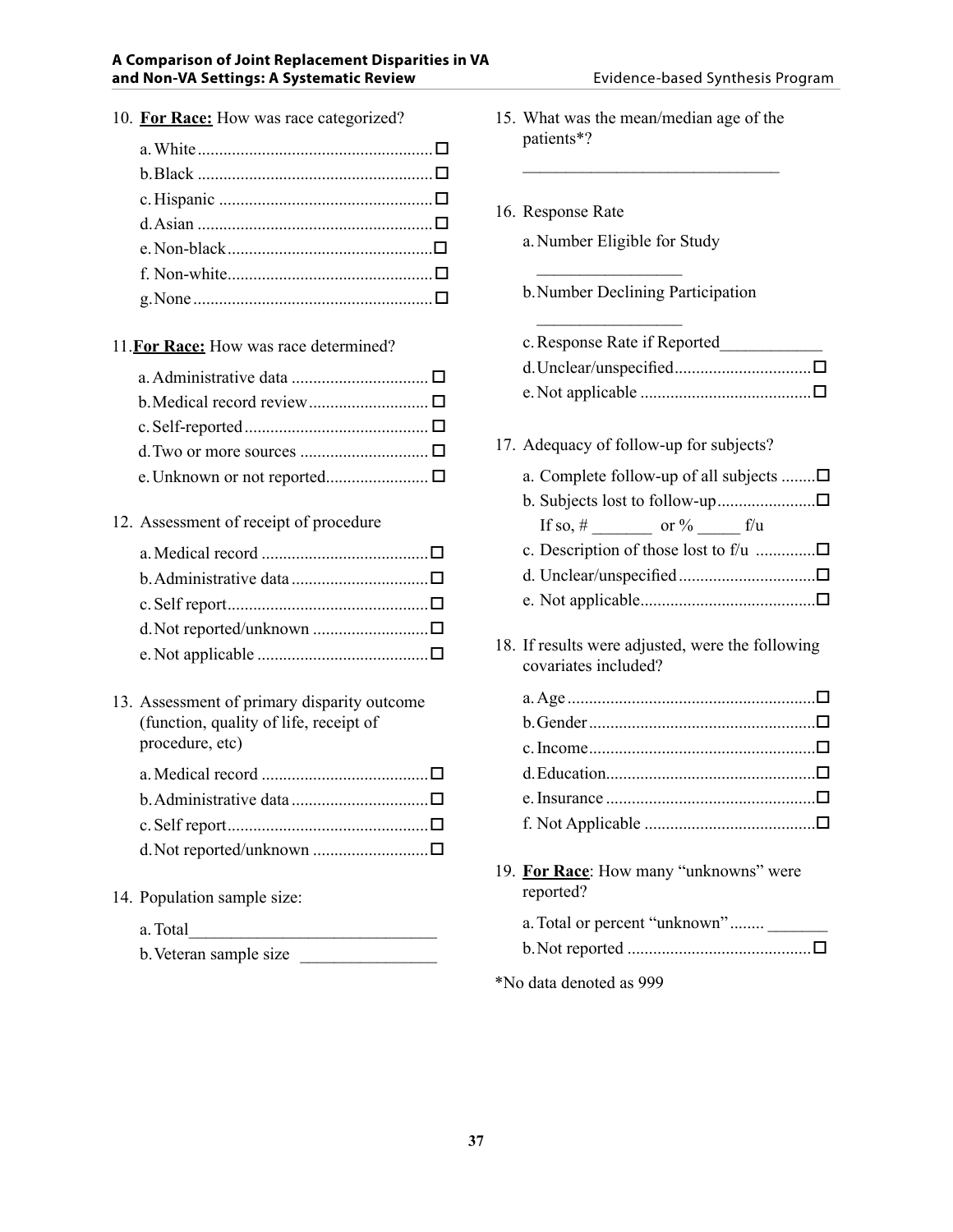10. **For Race:** How was race categorized?

| g. None $\Box$ $\Box$ |  |
|-----------------------|--|
|                       |  |

### 11.**For Race:** How was race determined?

#### 12. Assessment of receipt of procedure

13. Assessment of primary disparity outcome (function, quality of life, receipt of procedure, etc)

| d. Not reported/unknown □ |  |
|---------------------------|--|

14. Population sample size:

| a. Total |  |  |  |  |  |
|----------|--|--|--|--|--|
|          |  |  |  |  |  |

b.Veteran sample size \_\_\_\_\_\_\_\_\_\_\_\_\_\_\_\_

| 15. What was the mean/median age of the<br>patients*?                                                                                                               |
|---------------------------------------------------------------------------------------------------------------------------------------------------------------------|
| 16. Response Rate<br>a. Number Eligible for Study                                                                                                                   |
| b. Number Declining Participation                                                                                                                                   |
| c. Response Rate if Reported                                                                                                                                        |
| 17. Adequacy of follow-up for subjects?<br>a. Complete follow-up of all subjects $\Box$<br>If so, # ________ or % ______ f/u<br>c. Description of those lost to f/u |
|                                                                                                                                                                     |
| 18. If results were adjusted, were the following<br>covariates included?                                                                                            |
|                                                                                                                                                                     |
| 19. For Race: How many "unknowns" were<br>reported?                                                                                                                 |
| a. Total or percent "unknown"                                                                                                                                       |
| *No data denoted as 999                                                                                                                                             |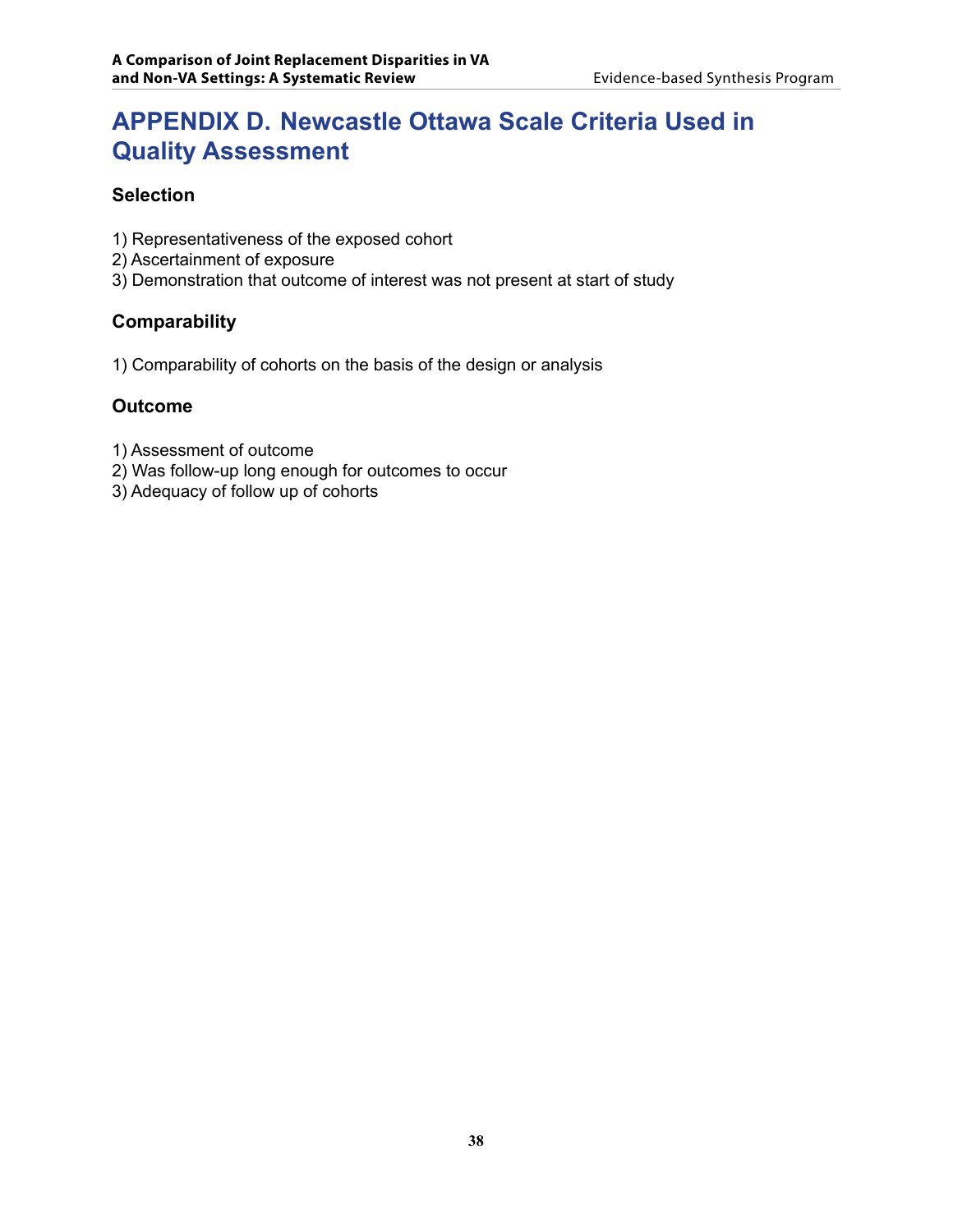## **APPENDIX D. Newcastle Ottawa Scale Criteria Used in Quality Assessment**

### **Selection**

- 1) Representativeness of the exposed cohort
- 2) Ascertainment of exposure
- 3) Demonstration that outcome of interest was not present at start of study

#### **Comparability**

1) Comparability of cohorts on the basis of the design or analysis

#### **Outcome**

- 1) Assessment of outcome
- 2) Was follow-up long enough for outcomes to occur
- 3) Adequacy of follow up of cohorts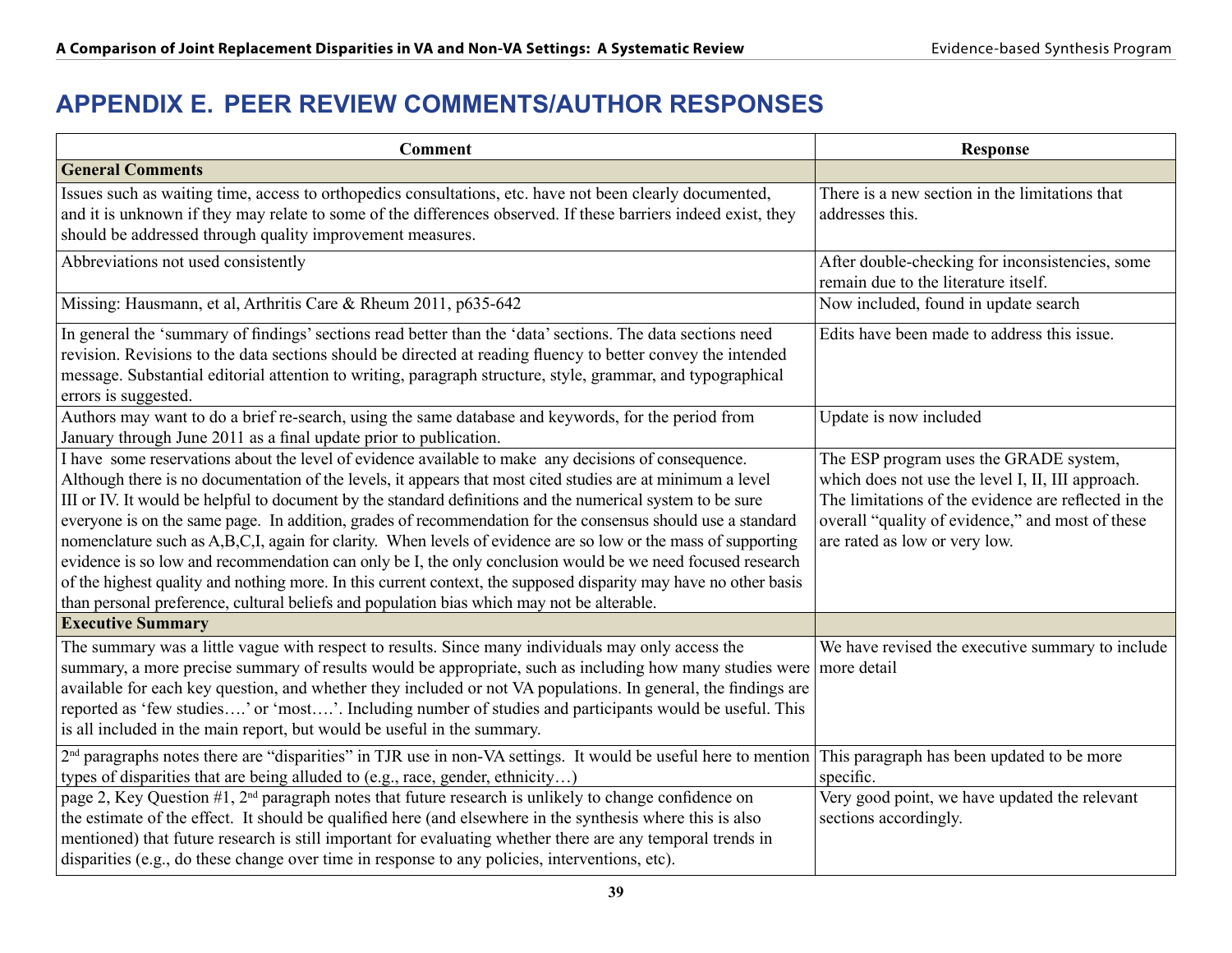# **APPENDIX E. Peer Review Comments/Author Responses**

| <b>Comment</b>                                                                                                                                                                                                                                                                                                                                                                                                                                                                                                                                                                                                                                                                                                                                                                                                                                                                                    | <b>Response</b>                                                                                                                                                                                                                          |
|---------------------------------------------------------------------------------------------------------------------------------------------------------------------------------------------------------------------------------------------------------------------------------------------------------------------------------------------------------------------------------------------------------------------------------------------------------------------------------------------------------------------------------------------------------------------------------------------------------------------------------------------------------------------------------------------------------------------------------------------------------------------------------------------------------------------------------------------------------------------------------------------------|------------------------------------------------------------------------------------------------------------------------------------------------------------------------------------------------------------------------------------------|
| <b>General Comments</b>                                                                                                                                                                                                                                                                                                                                                                                                                                                                                                                                                                                                                                                                                                                                                                                                                                                                           |                                                                                                                                                                                                                                          |
| Issues such as waiting time, access to orthopedics consultations, etc. have not been clearly documented,<br>and it is unknown if they may relate to some of the differences observed. If these barriers indeed exist, they<br>should be addressed through quality improvement measures.                                                                                                                                                                                                                                                                                                                                                                                                                                                                                                                                                                                                           | There is a new section in the limitations that<br>addresses this.                                                                                                                                                                        |
| Abbreviations not used consistently                                                                                                                                                                                                                                                                                                                                                                                                                                                                                                                                                                                                                                                                                                                                                                                                                                                               | After double-checking for inconsistencies, some<br>remain due to the literature itself.                                                                                                                                                  |
| Missing: Hausmann, et al, Arthritis Care & Rheum 2011, p635-642                                                                                                                                                                                                                                                                                                                                                                                                                                                                                                                                                                                                                                                                                                                                                                                                                                   | Now included, found in update search                                                                                                                                                                                                     |
| In general the 'summary of findings' sections read better than the 'data' sections. The data sections need<br>revision. Revisions to the data sections should be directed at reading fluency to better convey the intended<br>message. Substantial editorial attention to writing, paragraph structure, style, grammar, and typographical<br>errors is suggested.                                                                                                                                                                                                                                                                                                                                                                                                                                                                                                                                 | Edits have been made to address this issue.                                                                                                                                                                                              |
| Authors may want to do a brief re-search, using the same database and keywords, for the period from<br>January through June 2011 as a final update prior to publication.                                                                                                                                                                                                                                                                                                                                                                                                                                                                                                                                                                                                                                                                                                                          | Update is now included                                                                                                                                                                                                                   |
| I have some reservations about the level of evidence available to make any decisions of consequence.<br>Although there is no documentation of the levels, it appears that most cited studies are at minimum a level<br>III or IV. It would be helpful to document by the standard definitions and the numerical system to be sure<br>everyone is on the same page. In addition, grades of recommendation for the consensus should use a standard<br>nomenclature such as A,B,C,I, again for clarity. When levels of evidence are so low or the mass of supporting<br>evidence is so low and recommendation can only be I, the only conclusion would be we need focused research<br>of the highest quality and nothing more. In this current context, the supposed disparity may have no other basis<br>than personal preference, cultural beliefs and population bias which may not be alterable. | The ESP program uses the GRADE system,<br>which does not use the level I, II, III approach.<br>The limitations of the evidence are reflected in the<br>overall "quality of evidence," and most of these<br>are rated as low or very low. |
| <b>Executive Summary</b>                                                                                                                                                                                                                                                                                                                                                                                                                                                                                                                                                                                                                                                                                                                                                                                                                                                                          |                                                                                                                                                                                                                                          |
| The summary was a little vague with respect to results. Since many individuals may only access the<br>summary, a more precise summary of results would be appropriate, such as including how many studies were more detail<br>available for each key question, and whether they included or not VA populations. In general, the findings are<br>reported as 'few studies' or 'most'. Including number of studies and participants would be useful. This<br>is all included in the main report, but would be useful in the summary.                                                                                                                                                                                                                                                                                                                                                                | We have revised the executive summary to include                                                                                                                                                                                         |
| $2nd$ paragraphs notes there are "disparities" in TJR use in non-VA settings. It would be useful here to mention This paragraph has been updated to be more<br>types of disparities that are being alluded to (e.g., race, gender, ethnicity)                                                                                                                                                                                                                                                                                                                                                                                                                                                                                                                                                                                                                                                     | specific.                                                                                                                                                                                                                                |
| page 2, Key Question $#1$ , $2nd$ paragraph notes that future research is unlikely to change confidence on<br>the estimate of the effect. It should be qualified here (and elsewhere in the synthesis where this is also<br>mentioned) that future research is still important for evaluating whether there are any temporal trends in<br>disparities (e.g., do these change over time in response to any policies, interventions, etc).                                                                                                                                                                                                                                                                                                                                                                                                                                                          | Very good point, we have updated the relevant<br>sections accordingly.                                                                                                                                                                   |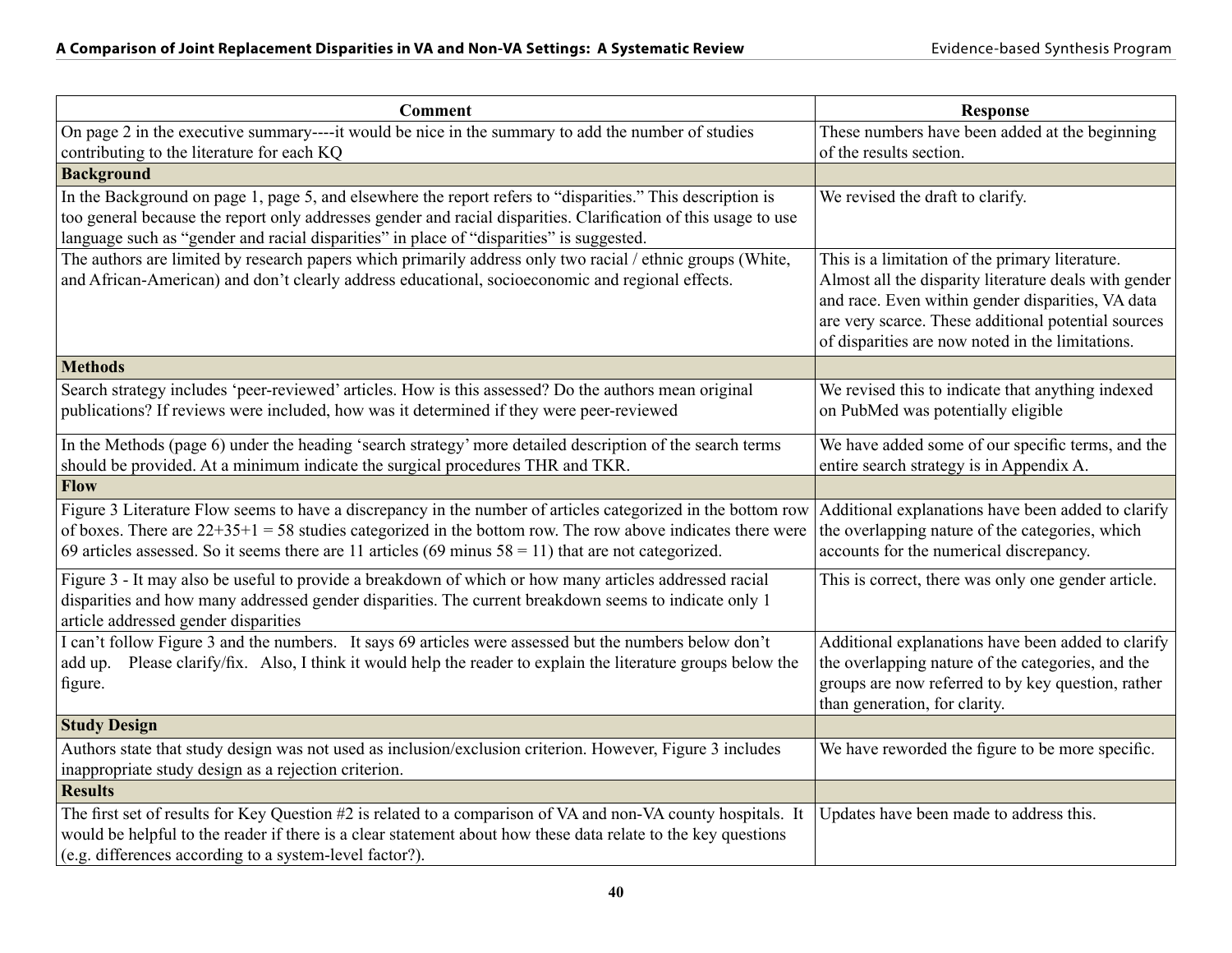| <b>Comment</b>                                                                                                   | <b>Response</b>                                                                                            |
|------------------------------------------------------------------------------------------------------------------|------------------------------------------------------------------------------------------------------------|
| On page 2 in the executive summary----it would be nice in the summary to add the number of studies               | These numbers have been added at the beginning                                                             |
| contributing to the literature for each KQ                                                                       | of the results section.                                                                                    |
| <b>Background</b>                                                                                                |                                                                                                            |
| In the Background on page 1, page 5, and elsewhere the report refers to "disparities." This description is       | We revised the draft to clarify.                                                                           |
| too general because the report only addresses gender and racial disparities. Clarification of this usage to use  |                                                                                                            |
| language such as "gender and racial disparities" in place of "disparities" is suggested.                         |                                                                                                            |
| The authors are limited by research papers which primarily address only two racial / ethnic groups (White,       | This is a limitation of the primary literature.                                                            |
| and African-American) and don't clearly address educational, socioeconomic and regional effects.                 | Almost all the disparity literature deals with gender<br>and race. Even within gender disparities, VA data |
|                                                                                                                  | are very scarce. These additional potential sources                                                        |
|                                                                                                                  | of disparities are now noted in the limitations.                                                           |
| <b>Methods</b>                                                                                                   |                                                                                                            |
| Search strategy includes 'peer-reviewed' articles. How is this assessed? Do the authors mean original            | We revised this to indicate that anything indexed                                                          |
| publications? If reviews were included, how was it determined if they were peer-reviewed                         | on PubMed was potentially eligible                                                                         |
|                                                                                                                  |                                                                                                            |
| In the Methods (page 6) under the heading 'search strategy' more detailed description of the search terms        | We have added some of our specific terms, and the                                                          |
| should be provided. At a minimum indicate the surgical procedures THR and TKR.                                   | entire search strategy is in Appendix A.                                                                   |
| Flow                                                                                                             |                                                                                                            |
| Figure 3 Literature Flow seems to have a discrepancy in the number of articles categorized in the bottom row     | Additional explanations have been added to clarify                                                         |
| of boxes. There are $22+35+1=58$ studies categorized in the bottom row. The row above indicates there were       | the overlapping nature of the categories, which                                                            |
| 69 articles assessed. So it seems there are 11 articles (69 minus $58 = 11$ ) that are not categorized.          | accounts for the numerical discrepancy.                                                                    |
| Figure 3 - It may also be useful to provide a breakdown of which or how many articles addressed racial           | This is correct, there was only one gender article.                                                        |
| disparities and how many addressed gender disparities. The current breakdown seems to indicate only 1            |                                                                                                            |
| article addressed gender disparities                                                                             |                                                                                                            |
| I can't follow Figure 3 and the numbers. It says 69 articles were assessed but the numbers below don't           | Additional explanations have been added to clarify                                                         |
| Please clarify/fix. Also, I think it would help the reader to explain the literature groups below the<br>add up. | the overlapping nature of the categories, and the                                                          |
| figure.                                                                                                          | groups are now referred to by key question, rather                                                         |
|                                                                                                                  | than generation, for clarity.                                                                              |
| <b>Study Design</b>                                                                                              |                                                                                                            |
| Authors state that study design was not used as inclusion/exclusion criterion. However, Figure 3 includes        | We have reworded the figure to be more specific.                                                           |
| inappropriate study design as a rejection criterion.                                                             |                                                                                                            |
| <b>Results</b>                                                                                                   |                                                                                                            |
| The first set of results for Key Question #2 is related to a comparison of VA and non-VA county hospitals. It    | Updates have been made to address this.                                                                    |
| would be helpful to the reader if there is a clear statement about how these data relate to the key questions    |                                                                                                            |
| (e.g. differences according to a system-level factor?).                                                          |                                                                                                            |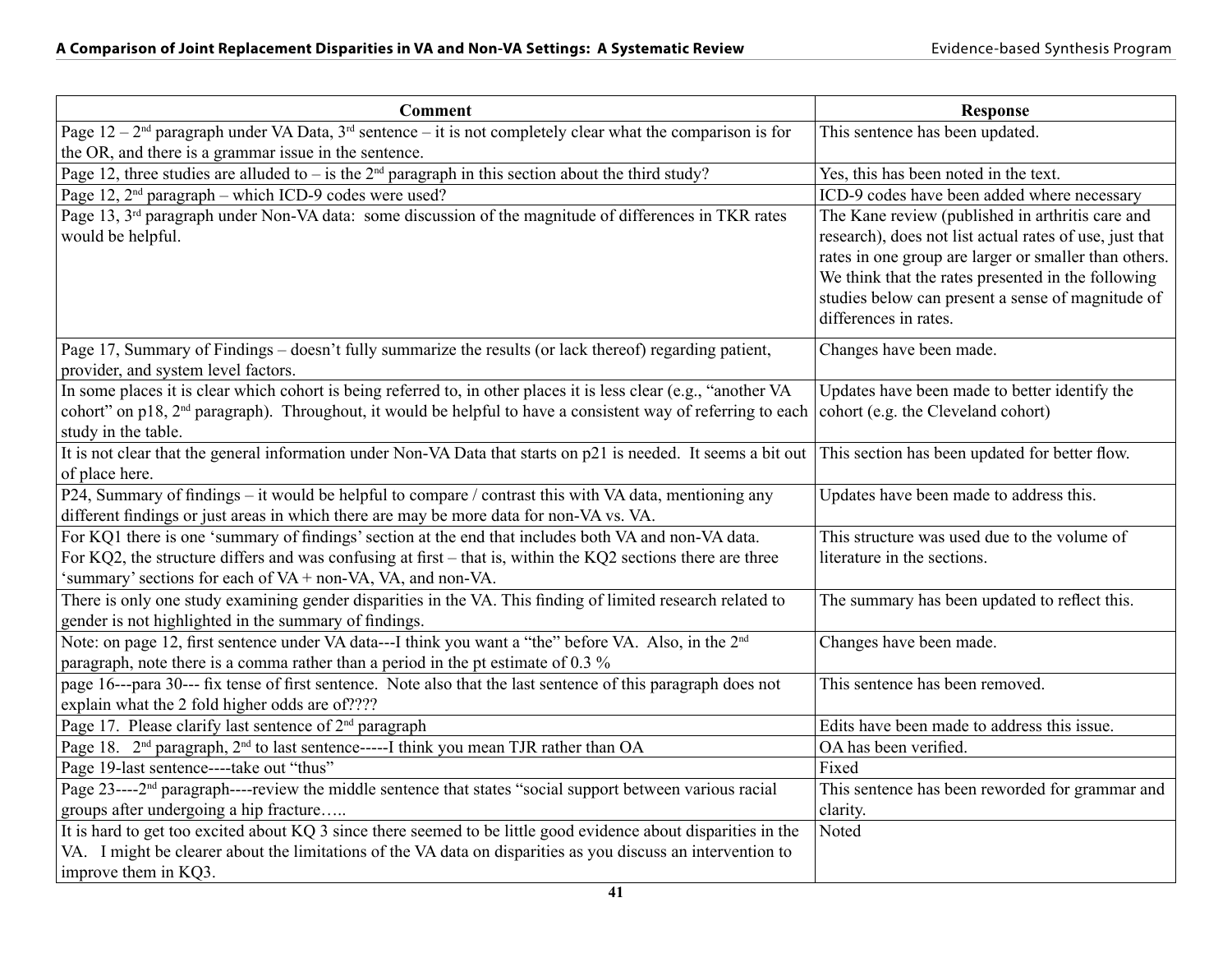| <b>Comment</b>                                                                                                                                                                                         | <b>Response</b>                                                                                                                                                                                                                                                                                          |
|--------------------------------------------------------------------------------------------------------------------------------------------------------------------------------------------------------|----------------------------------------------------------------------------------------------------------------------------------------------------------------------------------------------------------------------------------------------------------------------------------------------------------|
| Page $12 - 2nd$ paragraph under VA Data, $3rd$ sentence – it is not completely clear what the comparison is for                                                                                        | This sentence has been updated.                                                                                                                                                                                                                                                                          |
| the OR, and there is a grammar issue in the sentence.                                                                                                                                                  |                                                                                                                                                                                                                                                                                                          |
| Page 12, three studies are alluded to – is the $2nd$ paragraph in this section about the third study?                                                                                                  | Yes, this has been noted in the text.                                                                                                                                                                                                                                                                    |
| Page 12, $2nd$ paragraph – which ICD-9 codes were used?                                                                                                                                                | ICD-9 codes have been added where necessary                                                                                                                                                                                                                                                              |
| Page 13, 3 <sup>rd</sup> paragraph under Non-VA data: some discussion of the magnitude of differences in TKR rates<br>would be helpful.                                                                | The Kane review (published in arthritis care and<br>research), does not list actual rates of use, just that<br>rates in one group are larger or smaller than others.<br>We think that the rates presented in the following<br>studies below can present a sense of magnitude of<br>differences in rates. |
| Page 17, Summary of Findings - doesn't fully summarize the results (or lack thereof) regarding patient,                                                                                                | Changes have been made.                                                                                                                                                                                                                                                                                  |
| provider, and system level factors.<br>In some places it is clear which cohort is being referred to, in other places it is less clear (e.g., "another VA                                               |                                                                                                                                                                                                                                                                                                          |
| cohort" on p18, 2 <sup>nd</sup> paragraph). Throughout, it would be helpful to have a consistent way of referring to each<br>study in the table.                                                       | Updates have been made to better identify the<br>cohort (e.g. the Cleveland cohort)                                                                                                                                                                                                                      |
| It is not clear that the general information under Non-VA Data that starts on p21 is needed. It seems a bit out                                                                                        | This section has been updated for better flow.                                                                                                                                                                                                                                                           |
| of place here.                                                                                                                                                                                         |                                                                                                                                                                                                                                                                                                          |
| P24, Summary of findings – it would be helpful to compare / contrast this with VA data, mentioning any<br>different findings or just areas in which there are may be more data for non-VA vs. VA.      | Updates have been made to address this.                                                                                                                                                                                                                                                                  |
| For KQ1 there is one 'summary of findings' section at the end that includes both VA and non-VA data.                                                                                                   | This structure was used due to the volume of                                                                                                                                                                                                                                                             |
| For KQ2, the structure differs and was confusing at first – that is, within the KQ2 sections there are three<br>'summary' sections for each of VA + non-VA, VA, and non-VA.                            | literature in the sections.                                                                                                                                                                                                                                                                              |
| There is only one study examining gender disparities in the VA. This finding of limited research related to<br>gender is not highlighted in the summary of findings.                                   | The summary has been updated to reflect this.                                                                                                                                                                                                                                                            |
| Note: on page 12, first sentence under VA data---I think you want a "the" before VA. Also, in the 2 <sup>nd</sup><br>paragraph, note there is a comma rather than a period in the pt estimate of 0.3 % | Changes have been made.                                                                                                                                                                                                                                                                                  |
| page 16---para 30--- fix tense of first sentence. Note also that the last sentence of this paragraph does not<br>explain what the 2 fold higher odds are of????                                        | This sentence has been removed.                                                                                                                                                                                                                                                                          |
| Page 17. Please clarify last sentence of 2 <sup>nd</sup> paragraph                                                                                                                                     | Edits have been made to address this issue.                                                                                                                                                                                                                                                              |
| Page 18. 2 <sup>nd</sup> paragraph, 2 <sup>nd</sup> to last sentence-----I think you mean TJR rather than OA                                                                                           | OA has been verified.                                                                                                                                                                                                                                                                                    |
| Page 19-last sentence----take out "thus"                                                                                                                                                               | Fixed                                                                                                                                                                                                                                                                                                    |
| Page 23----2 <sup>nd</sup> paragraph----review the middle sentence that states "social support between various racial                                                                                  | This sentence has been reworded for grammar and                                                                                                                                                                                                                                                          |
| groups after undergoing a hip fracture                                                                                                                                                                 | clarity.                                                                                                                                                                                                                                                                                                 |
| It is hard to get too excited about KQ 3 since there seemed to be little good evidence about disparities in the                                                                                        | Noted                                                                                                                                                                                                                                                                                                    |
| VA. I might be clearer about the limitations of the VA data on disparities as you discuss an intervention to                                                                                           |                                                                                                                                                                                                                                                                                                          |
| improve them in KQ3.                                                                                                                                                                                   |                                                                                                                                                                                                                                                                                                          |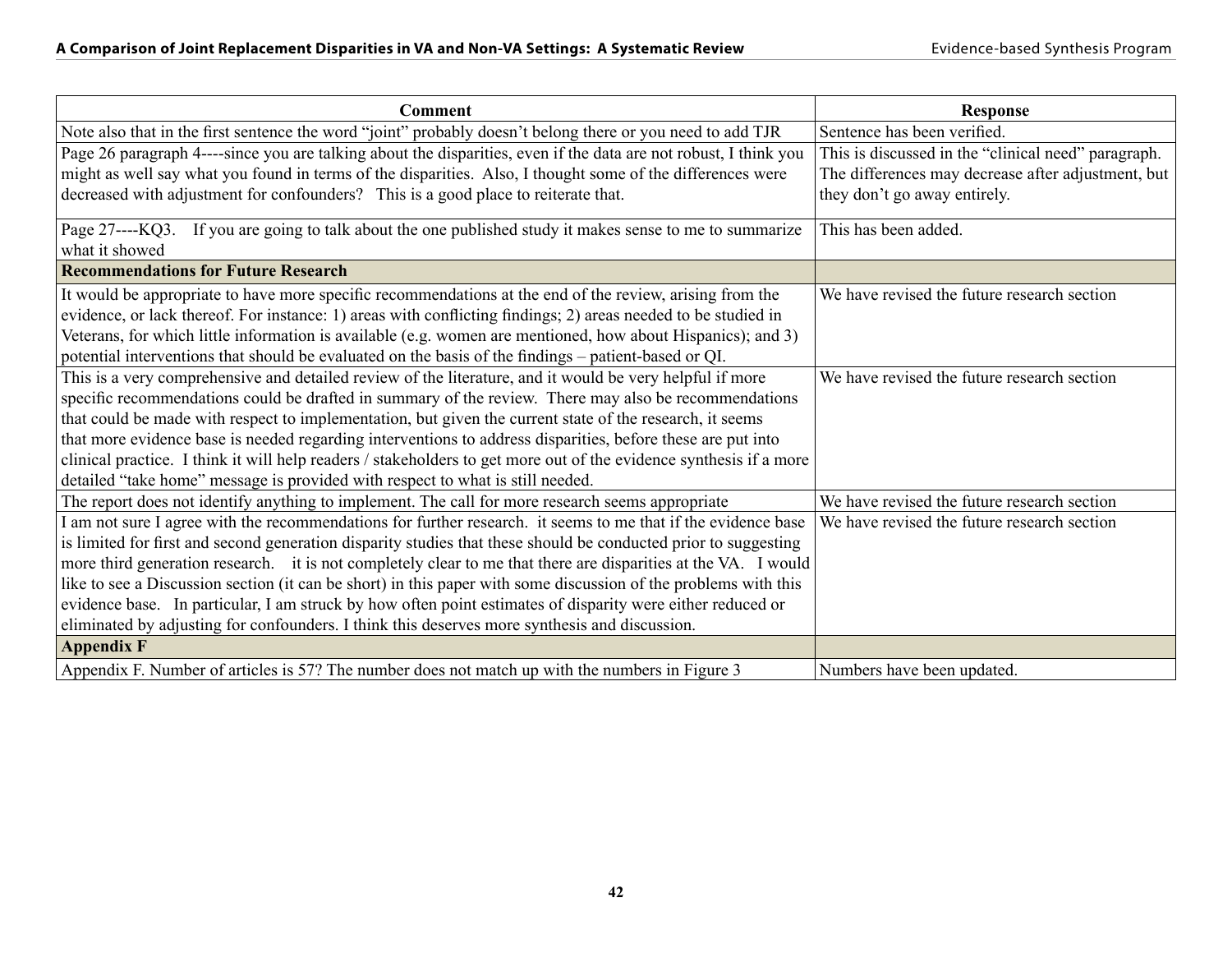| <b>Comment</b>                                                                                                     | <b>Response</b>                                     |
|--------------------------------------------------------------------------------------------------------------------|-----------------------------------------------------|
| Note also that in the first sentence the word "joint" probably doesn't belong there or you need to add TJR         | Sentence has been verified.                         |
| Page 26 paragraph 4----since you are talking about the disparities, even if the data are not robust, I think you   | This is discussed in the "clinical need" paragraph. |
| might as well say what you found in terms of the disparities. Also, I thought some of the differences were         | The differences may decrease after adjustment, but  |
| decreased with adjustment for confounders? This is a good place to reiterate that.                                 | they don't go away entirely.                        |
| Page 27----KQ3. If you are going to talk about the one published study it makes sense to me to summarize           | This has been added.                                |
| what it showed                                                                                                     |                                                     |
| <b>Recommendations for Future Research</b>                                                                         |                                                     |
| It would be appropriate to have more specific recommendations at the end of the review, arising from the           | We have revised the future research section         |
| evidence, or lack thereof. For instance: 1) areas with conflicting findings; 2) areas needed to be studied in      |                                                     |
| Veterans, for which little information is available (e.g. women are mentioned, how about Hispanics); and 3)        |                                                     |
| potential interventions that should be evaluated on the basis of the findings – patient-based or QI.               |                                                     |
| This is a very comprehensive and detailed review of the literature, and it would be very helpful if more           | We have revised the future research section         |
| specific recommendations could be drafted in summary of the review. There may also be recommendations              |                                                     |
| that could be made with respect to implementation, but given the current state of the research, it seems           |                                                     |
| that more evidence base is needed regarding interventions to address disparities, before these are put into        |                                                     |
| clinical practice. I think it will help readers / stakeholders to get more out of the evidence synthesis if a more |                                                     |
| detailed "take home" message is provided with respect to what is still needed.                                     |                                                     |
| The report does not identify anything to implement. The call for more research seems appropriate                   | We have revised the future research section         |
| I am not sure I agree with the recommendations for further research. it seems to me that if the evidence base      | We have revised the future research section         |
| is limited for first and second generation disparity studies that these should be conducted prior to suggesting    |                                                     |
| more third generation research. it is not completely clear to me that there are disparities at the VA. I would     |                                                     |
| like to see a Discussion section (it can be short) in this paper with some discussion of the problems with this    |                                                     |
| evidence base. In particular, I am struck by how often point estimates of disparity were either reduced or         |                                                     |
| eliminated by adjusting for confounders. I think this deserves more synthesis and discussion.                      |                                                     |
| <b>Appendix F</b>                                                                                                  |                                                     |
| Appendix F. Number of articles is 57? The number does not match up with the numbers in Figure 3                    | Numbers have been updated.                          |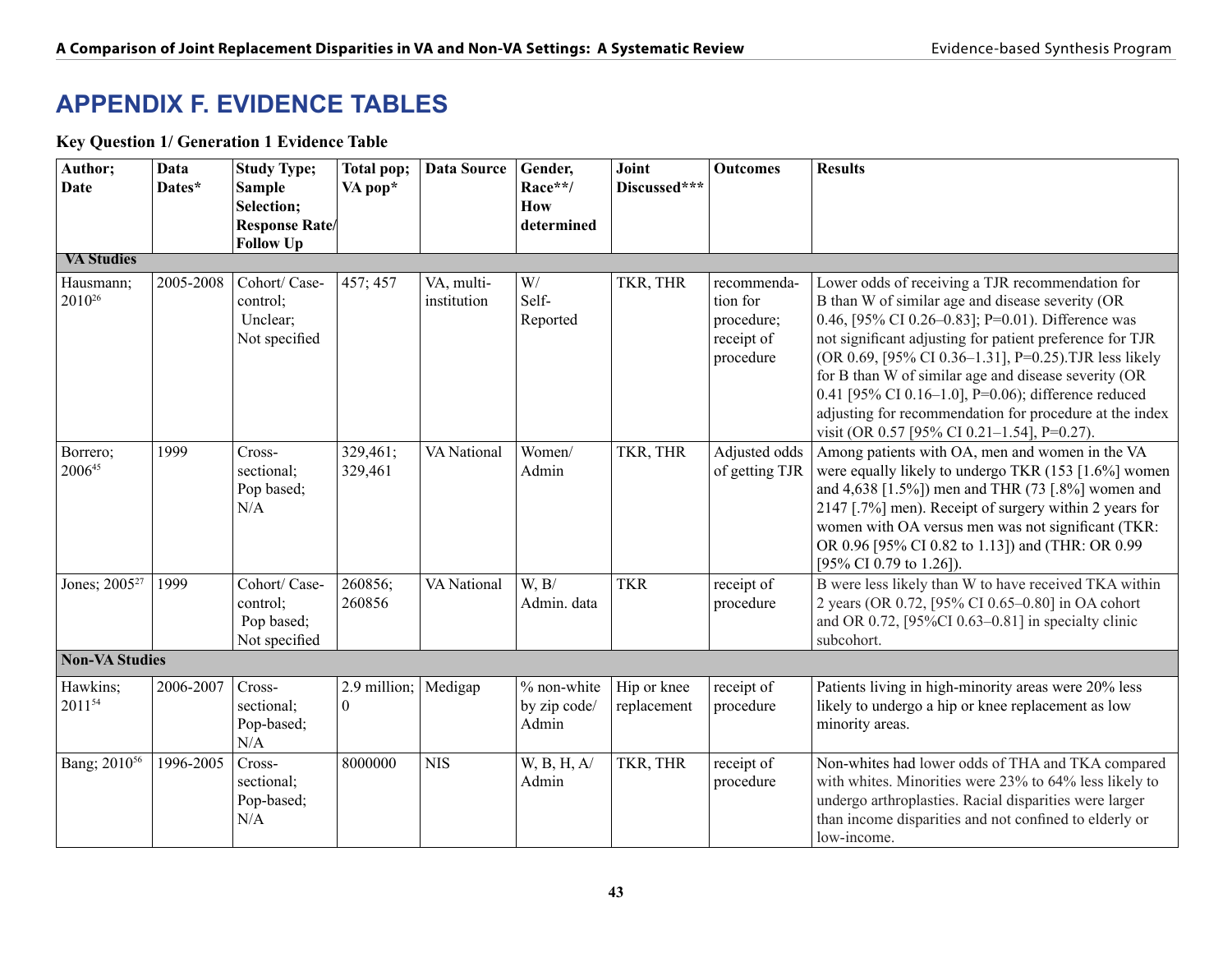## **APPENDIX F. Evidence Tables**

#### **Key Question 1/ Generation 1 Evidence Table**

| Author;<br>Date                 | Data<br>Dates* | <b>Study Type;</b><br><b>Sample</b><br>Selection;        | Total pop;<br>VA pop*            | <b>Data Source</b>        | Gender,<br>Race**/<br>How            | Joint<br>Discussed***      | <b>Outcomes</b>                                                  | <b>Results</b>                                                                                                                                                                                                                                                                                                                                                                                                                                                                                           |
|---------------------------------|----------------|----------------------------------------------------------|----------------------------------|---------------------------|--------------------------------------|----------------------------|------------------------------------------------------------------|----------------------------------------------------------------------------------------------------------------------------------------------------------------------------------------------------------------------------------------------------------------------------------------------------------------------------------------------------------------------------------------------------------------------------------------------------------------------------------------------------------|
|                                 |                | <b>Response Rate/</b><br><b>Follow Up</b>                |                                  |                           | determined                           |                            |                                                                  |                                                                                                                                                                                                                                                                                                                                                                                                                                                                                                          |
| <b>VA Studies</b>               |                |                                                          |                                  |                           |                                      |                            |                                                                  |                                                                                                                                                                                                                                                                                                                                                                                                                                                                                                          |
| Hausmann;<br>2010 <sup>26</sup> | 2005-2008      | Cohort/ Case-<br>control;<br>Unclear;<br>Not specified   | 457; 457                         | VA, multi-<br>institution | W/<br>Self-<br>Reported              | TKR, THR                   | recommenda-<br>tion for<br>procedure;<br>receipt of<br>procedure | Lower odds of receiving a TJR recommendation for<br>B than W of similar age and disease severity (OR<br>0.46, [95% CI 0.26–0.83]; P=0.01). Difference was<br>not significant adjusting for patient preference for TJR<br>(OR 0.69, [95% CI 0.36-1.31], P=0.25). TJR less likely<br>for B than W of similar age and disease severity (OR<br>0.41 [95% CI 0.16-1.0], P=0.06); difference reduced<br>adjusting for recommendation for procedure at the index<br>visit (OR 0.57 [95% CI 0.21-1.54], P=0.27). |
| Borrero;<br>200645              | 1999           | Cross-<br>sectional;<br>Pop based;<br>N/A                | 329,461;<br>329,461              | <b>VA</b> National        | Women/<br>Admin                      | TKR, THR                   | Adjusted odds<br>of getting TJR                                  | Among patients with OA, men and women in the VA<br>were equally likely to undergo TKR (153 [1.6%] women<br>and 4,638 [1.5%]) men and THR (73 [.8%] women and<br>2147 [.7%] men). Receipt of surgery within 2 years for<br>women with OA versus men was not significant (TKR:<br>OR 0.96 [95% CI 0.82 to 1.13]) and (THR: OR 0.99<br>[95% CI 0.79 to 1.26]).                                                                                                                                              |
| Jones; 2005 <sup>27</sup>       | 1999           | Cohort/ Case-<br>control;<br>Pop based;<br>Not specified | 260856;<br>260856                | VA National               | W, B/<br>Admin. data                 | <b>TKR</b>                 | receipt of<br>procedure                                          | B were less likely than W to have received TKA within<br>2 years (OR 0.72, [95% CI 0.65-0.80] in OA cohort<br>and OR 0.72, $[95\%CI\ 0.63-0.81]$ in specialty clinic<br>subcohort.                                                                                                                                                                                                                                                                                                                       |
| <b>Non-VA Studies</b>           |                |                                                          |                                  |                           |                                      |                            |                                                                  |                                                                                                                                                                                                                                                                                                                                                                                                                                                                                                          |
| Hawkins;<br>201154              | 2006-2007      | Cross-<br>sectional;<br>Pop-based;<br>N/A                | 2.9 million;<br>$\boldsymbol{0}$ | Medigap                   | % non-white<br>by zip code/<br>Admin | Hip or knee<br>replacement | receipt of<br>procedure                                          | Patients living in high-minority areas were 20% less<br>likely to undergo a hip or knee replacement as low<br>minority areas.                                                                                                                                                                                                                                                                                                                                                                            |
| Bang; 2010 <sup>56</sup>        | 1996-2005      | Cross-<br>sectional;<br>Pop-based;<br>N/A                | 8000000                          | <b>NIS</b>                | W, B, H, A/<br>Admin                 | TKR, THR                   | receipt of<br>procedure                                          | Non-whites had lower odds of THA and TKA compared<br>with whites. Minorities were 23% to 64% less likely to<br>undergo arthroplasties. Racial disparities were larger<br>than income disparities and not confined to elderly or<br>low-income.                                                                                                                                                                                                                                                           |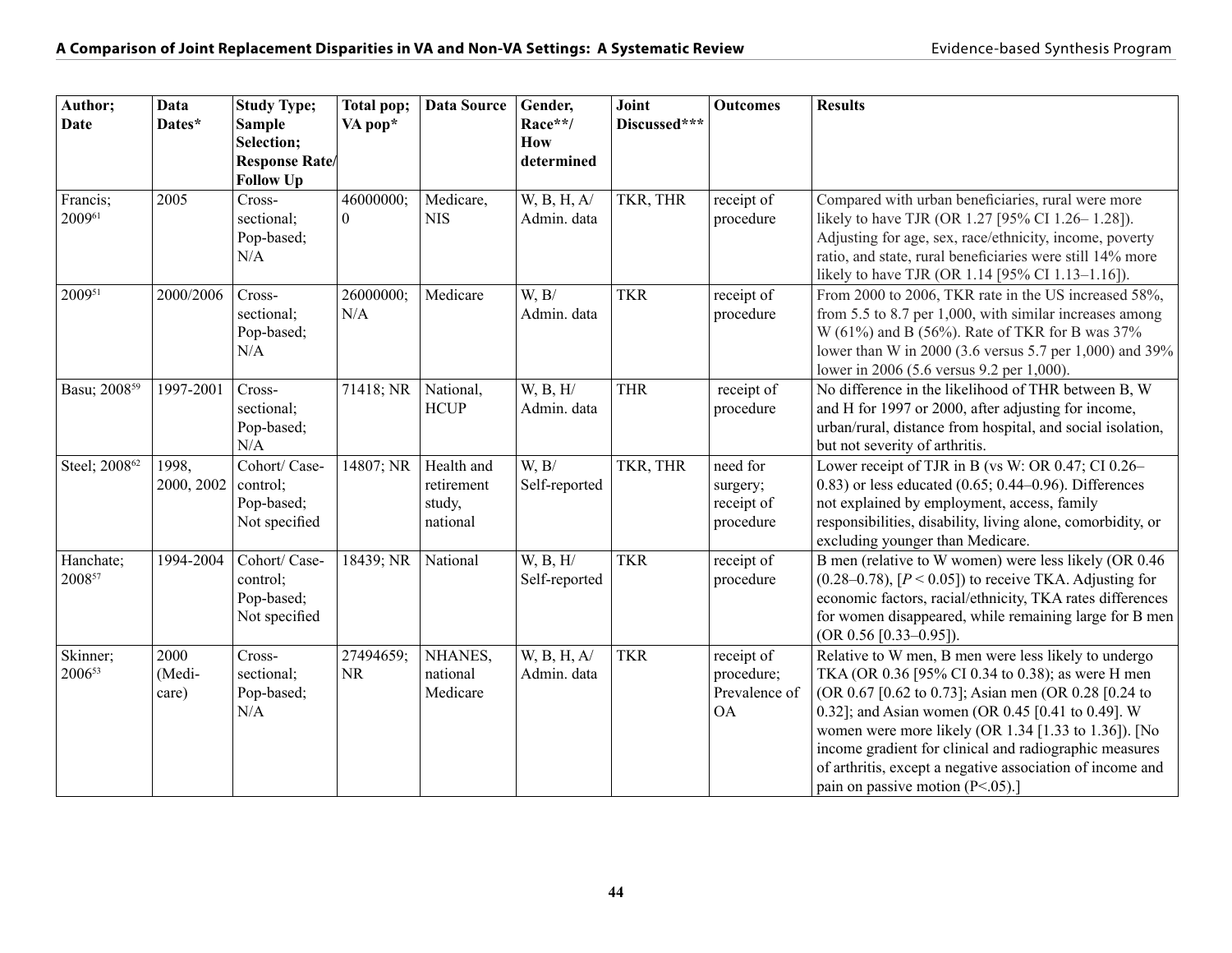| Author;<br><b>Date</b>    | Data<br>Dates*          | <b>Study Type;</b><br><b>Sample</b><br>Selection;<br><b>Response Rate</b> | Total pop;<br>VA pop* | Data Source                                    | Gender,<br>Race**/<br>How<br>determined | Joint<br>Discussed*** | <b>Outcomes</b>                                        | <b>Results</b>                                                                                                                                                                                                                                                                                                                                                                                                                                |
|---------------------------|-------------------------|---------------------------------------------------------------------------|-----------------------|------------------------------------------------|-----------------------------------------|-----------------------|--------------------------------------------------------|-----------------------------------------------------------------------------------------------------------------------------------------------------------------------------------------------------------------------------------------------------------------------------------------------------------------------------------------------------------------------------------------------------------------------------------------------|
| Francis;                  | 2005                    | <b>Follow Up</b><br>Cross-                                                | 46000000;             | Medicare,                                      | W, B, H, A/                             | TKR, THR              | receipt of                                             | Compared with urban beneficiaries, rural were more                                                                                                                                                                                                                                                                                                                                                                                            |
| 200961                    |                         | sectional;<br>Pop-based;<br>N/A                                           | $\theta$              | <b>NIS</b>                                     | Admin. data                             |                       | procedure                                              | likely to have TJR (OR 1.27 [95% CI 1.26–1.28]).<br>Adjusting for age, sex, race/ethnicity, income, poverty<br>ratio, and state, rural beneficiaries were still 14% more<br>likely to have TJR (OR 1.14 [95% CI 1.13-1.16]).                                                                                                                                                                                                                  |
| 200951                    | 2000/2006               | Cross-<br>sectional;<br>Pop-based;<br>N/A                                 | 26000000;<br>N/A      | Medicare                                       | W, B/<br>Admin. data                    | <b>TKR</b>            | receipt of<br>procedure                                | From 2000 to 2006, TKR rate in the US increased 58%,<br>from 5.5 to 8.7 per 1,000, with similar increases among<br>W (61%) and B (56%). Rate of TKR for B was 37%<br>lower than W in 2000 (3.6 versus 5.7 per 1,000) and 39%<br>lower in 2006 (5.6 versus 9.2 per 1,000).                                                                                                                                                                     |
| Basu; 2008 <sup>59</sup>  | 1997-2001               | Cross-<br>sectional;<br>Pop-based;<br>N/A                                 | 71418; NR             | National,<br><b>HCUP</b>                       | W, B, H/<br>Admin. data                 | <b>THR</b>            | receipt of<br>procedure                                | No difference in the likelihood of THR between B, W<br>and H for 1997 or 2000, after adjusting for income,<br>urban/rural, distance from hospital, and social isolation,<br>but not severity of arthritis.                                                                                                                                                                                                                                    |
| Steel; 2008 <sup>62</sup> | 1998,<br>2000, 2002     | Cohort/ Case-<br>control;<br>Pop-based;<br>Not specified                  | 14807; NR             | Health and<br>retirement<br>study,<br>national | W, B/<br>Self-reported                  | TKR, THR              | need for<br>surgery;<br>receipt of<br>procedure        | Lower receipt of TJR in B (vs W: OR 0.47; CI 0.26–<br>$(0.83)$ or less educated $(0.65; 0.44-0.96)$ . Differences<br>not explained by employment, access, family<br>responsibilities, disability, living alone, comorbidity, or<br>excluding younger than Medicare.                                                                                                                                                                           |
| Hanchate;<br>200857       | 1994-2004               | Cohort/ Case-<br>control;<br>Pop-based;<br>Not specified                  | 18439; NR             | National                                       | W, B, H/<br>Self-reported               | <b>TKR</b>            | receipt of<br>procedure                                | B men (relative to W women) were less likely (OR 0.46<br>$(0.28-0.78)$ , [ $P < 0.05$ ]) to receive TKA. Adjusting for<br>economic factors, racial/ethnicity, TKA rates differences<br>for women disappeared, while remaining large for B men<br>(OR $0.56$ [0.33-0.95]).                                                                                                                                                                     |
| Skinner;<br>200653        | 2000<br>(Medi-<br>care) | Cross-<br>sectional;<br>Pop-based;<br>N/A                                 | 27494659;<br>NR       | NHANES,<br>national<br>Medicare                | W, B, H, A<br>Admin. data               | <b>TKR</b>            | receipt of<br>procedure;<br>Prevalence of<br><b>OA</b> | Relative to W men, B men were less likely to undergo<br>TKA (OR 0.36 [95% CI 0.34 to 0.38); as were H men<br>(OR 0.67 [0.62 to 0.73]; Asian men (OR 0.28 [0.24 to<br>0.32]; and Asian women (OR 0.45 [0.41 to 0.49]. W<br>women were more likely (OR $1.34$ [1.33 to 1.36]). [No<br>income gradient for clinical and radiographic measures<br>of arthritis, except a negative association of income and<br>pain on passive motion $(P<.05)$ . |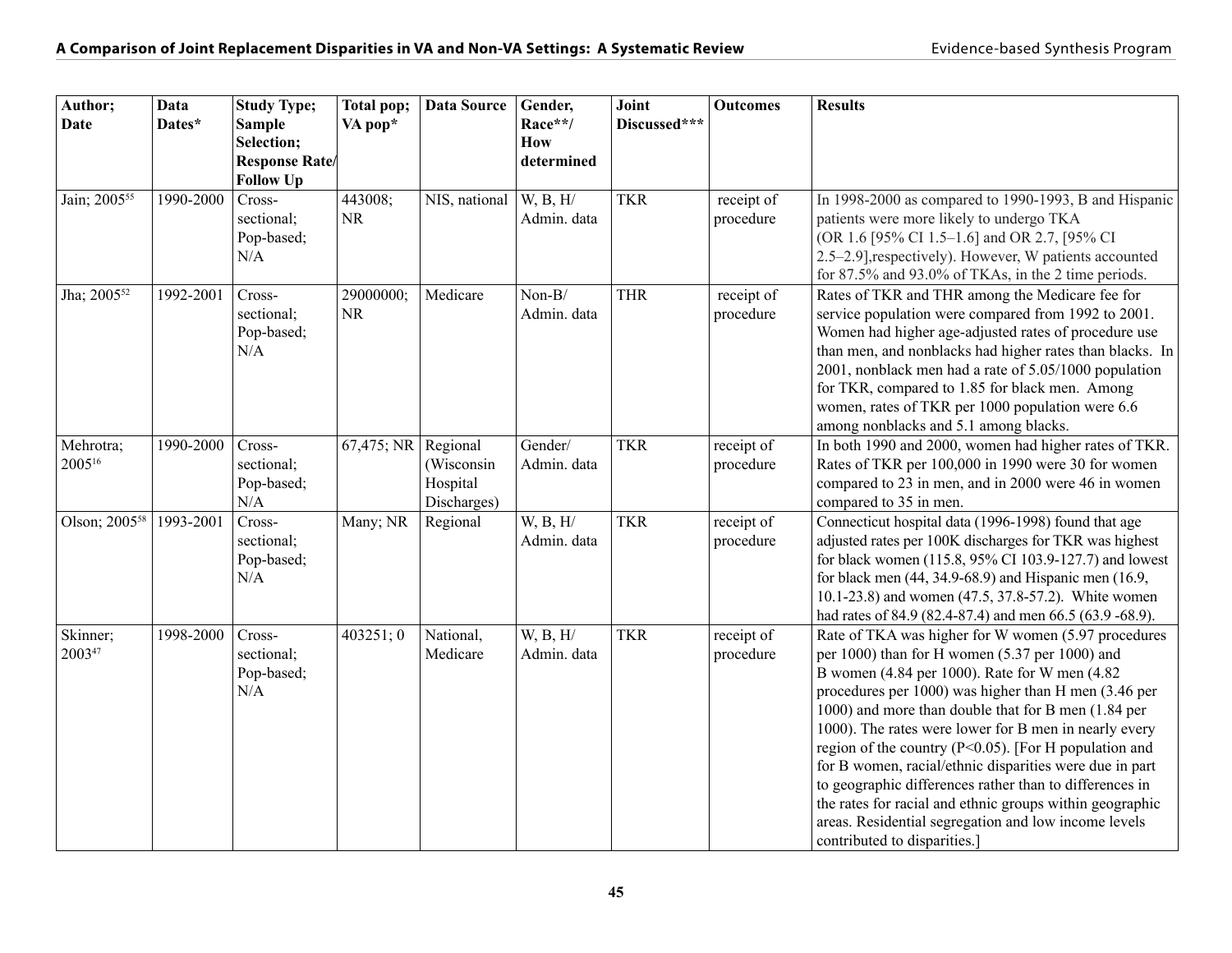| Author;                   | Data      | <b>Study Type;</b>   | Total pop; | <b>Data Source</b> | Gender,     | Joint        | <b>Outcomes</b> | <b>Results</b>                                                                                                  |
|---------------------------|-----------|----------------------|------------|--------------------|-------------|--------------|-----------------|-----------------------------------------------------------------------------------------------------------------|
| <b>Date</b>               | Dates*    | <b>Sample</b>        | VA pop*    |                    | Race**/     | Discussed*** |                 |                                                                                                                 |
|                           |           | Selection;           |            |                    | <b>How</b>  |              |                 |                                                                                                                 |
|                           |           | <b>Response Rate</b> |            |                    | determined  |              |                 |                                                                                                                 |
|                           |           | <b>Follow Up</b>     |            |                    |             |              |                 |                                                                                                                 |
| Jain; 2005 <sup>55</sup>  | 1990-2000 | Cross-               | 443008;    | NIS, national      | W, B, H/    | <b>TKR</b>   | receipt of      | In 1998-2000 as compared to 1990-1993, B and Hispanic                                                           |
|                           |           | sectional;           | <b>NR</b>  |                    | Admin. data |              | procedure       | patients were more likely to undergo TKA                                                                        |
|                           |           | Pop-based;           |            |                    |             |              |                 | (OR 1.6 [95% CI 1.5-1.6] and OR 2.7, [95% CI                                                                    |
|                           |           | N/A                  |            |                    |             |              |                 | 2.5-2.9], respectively). However, W patients accounted                                                          |
| Jha; 2005 <sup>52</sup>   | 1992-2001 | Cross-               | 29000000;  | Medicare           | $Non-B/$    | <b>THR</b>   | receipt of      | for 87.5% and 93.0% of TKAs, in the 2 time periods.<br>Rates of TKR and THR among the Medicare fee for          |
|                           |           | sectional;           | <b>NR</b>  |                    | Admin. data |              | procedure       | service population were compared from 1992 to 2001.                                                             |
|                           |           | Pop-based;           |            |                    |             |              |                 | Women had higher age-adjusted rates of procedure use                                                            |
|                           |           | N/A                  |            |                    |             |              |                 | than men, and nonblacks had higher rates than blacks. In                                                        |
|                           |           |                      |            |                    |             |              |                 | 2001, nonblack men had a rate of 5.05/1000 population                                                           |
|                           |           |                      |            |                    |             |              |                 | for TKR, compared to 1.85 for black men. Among                                                                  |
|                           |           |                      |            |                    |             |              |                 | women, rates of TKR per 1000 population were 6.6                                                                |
|                           |           |                      |            |                    |             |              |                 | among nonblacks and 5.1 among blacks.                                                                           |
| Mehrotra;                 | 1990-2000 | Cross-               | 67,475; NR | Regional           | Gender/     | <b>TKR</b>   | receipt of      | In both 1990 and 2000, women had higher rates of TKR.                                                           |
| 200516                    |           | sectional;           |            | (Wisconsin         | Admin. data |              | procedure       | Rates of TKR per 100,000 in 1990 were 30 for women                                                              |
|                           |           | Pop-based;           |            | Hospital           |             |              |                 | compared to 23 in men, and in 2000 were 46 in women                                                             |
|                           |           | N/A                  |            | Discharges)        |             |              |                 | compared to 35 in men.                                                                                          |
| Olson; 2005 <sup>58</sup> | 1993-2001 | Cross-               | Many; NR   | Regional           | W, B, H/    | <b>TKR</b>   | receipt of      | Connecticut hospital data (1996-1998) found that age                                                            |
|                           |           | sectional;           |            |                    | Admin. data |              | procedure       | adjusted rates per 100K discharges for TKR was highest                                                          |
|                           |           | Pop-based;           |            |                    |             |              |                 | for black women (115.8, 95% CI 103.9-127.7) and lowest                                                          |
|                           |           | N/A                  |            |                    |             |              |                 | for black men (44, 34.9-68.9) and Hispanic men (16.9,                                                           |
|                           |           |                      |            |                    |             |              |                 | 10.1-23.8) and women (47.5, 37.8-57.2). White women<br>had rates of 84.9 (82.4-87.4) and men 66.5 (63.9 -68.9). |
| Skinner;                  | 1998-2000 | Cross-               | 403251; 0  | National,          | W, B, H/    | <b>TKR</b>   | receipt of      | Rate of TKA was higher for W women (5.97 procedures                                                             |
| 200347                    |           | sectional;           |            | Medicare           | Admin. data |              | procedure       | per $1000$ ) than for H women $(5.37$ per $1000)$ and                                                           |
|                           |           | Pop-based;           |            |                    |             |              |                 | B women (4.84 per 1000). Rate for W men (4.82)                                                                  |
|                           |           | N/A                  |            |                    |             |              |                 | procedures per 1000) was higher than H men (3.46 per                                                            |
|                           |           |                      |            |                    |             |              |                 | 1000) and more than double that for B men (1.84 per                                                             |
|                           |           |                      |            |                    |             |              |                 | 1000). The rates were lower for B men in nearly every                                                           |
|                           |           |                      |            |                    |             |              |                 | region of the country ( $P<0.05$ ). [For H population and                                                       |
|                           |           |                      |            |                    |             |              |                 | for B women, racial/ethnic disparities were due in part                                                         |
|                           |           |                      |            |                    |             |              |                 | to geographic differences rather than to differences in                                                         |
|                           |           |                      |            |                    |             |              |                 | the rates for racial and ethnic groups within geographic                                                        |
|                           |           |                      |            |                    |             |              |                 | areas. Residential segregation and low income levels                                                            |
|                           |           |                      |            |                    |             |              |                 | contributed to disparities.]                                                                                    |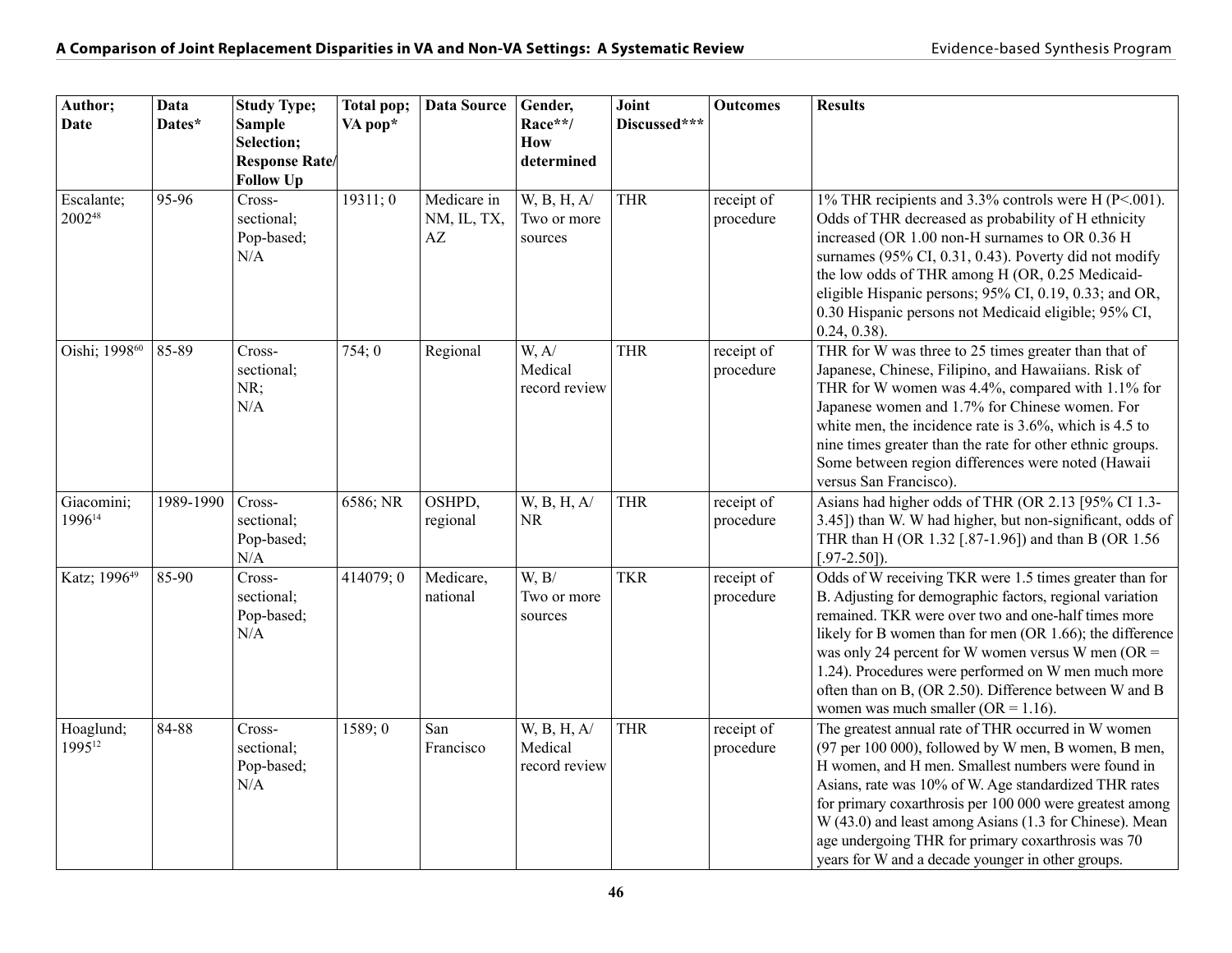| Author;<br>Date                  | Data<br>Dates* | <b>Study Type;</b><br><b>Sample</b><br>Selection;<br><b>Response Rate/</b><br><b>Follow Up</b> | Total pop;<br>VA pop* | <b>Data Source</b>               | Gender,<br>Race**/<br>How<br>determined | Joint<br>Discussed*** | <b>Outcomes</b>         | <b>Results</b>                                                                                                                                                                                                                                                                                                                                                                                                                                               |
|----------------------------------|----------------|------------------------------------------------------------------------------------------------|-----------------------|----------------------------------|-----------------------------------------|-----------------------|-------------------------|--------------------------------------------------------------------------------------------------------------------------------------------------------------------------------------------------------------------------------------------------------------------------------------------------------------------------------------------------------------------------------------------------------------------------------------------------------------|
| Escalante;<br>200248             | 95-96          | Cross-<br>sectional;<br>Pop-based;<br>N/A                                                      | 19311;0               | Medicare in<br>NM, IL, TX,<br>AZ | W, B, H, A/<br>Two or more<br>sources   | <b>THR</b>            | receipt of<br>procedure | 1% THR recipients and 3.3% controls were H (P<.001).<br>Odds of THR decreased as probability of H ethnicity<br>increased (OR 1.00 non-H surnames to OR 0.36 H<br>surnames (95% CI, 0.31, 0.43). Poverty did not modify<br>the low odds of THR among H (OR, 0.25 Medicaid-<br>eligible Hispanic persons; 95% CI, 0.19, 0.33; and OR,<br>0.30 Hispanic persons not Medicaid eligible; 95% CI,<br>$0.24, 0.38$ ).                                               |
| Oishi; 1998 <sup>60</sup>        | 85-89          | Cross-<br>sectional;<br>NR;<br>N/A                                                             | 754:0                 | Regional                         | W, A/<br>Medical<br>record review       | <b>THR</b>            | receipt of<br>procedure | THR for W was three to 25 times greater than that of<br>Japanese, Chinese, Filipino, and Hawaiians. Risk of<br>THR for W women was 4.4%, compared with 1.1% for<br>Japanese women and 1.7% for Chinese women. For<br>white men, the incidence rate is $3.6\%$ , which is 4.5 to<br>nine times greater than the rate for other ethnic groups.<br>Some between region differences were noted (Hawaii<br>versus San Francisco).                                 |
| Giacomini;<br>1996 <sup>14</sup> | 1989-1990      | Cross-<br>sectional;<br>Pop-based;<br>N/A                                                      | 6586; NR              | OSHPD,<br>regional               | W, B, H, A/<br><b>NR</b>                | THR                   | receipt of<br>procedure | Asians had higher odds of THR (OR 2.13 [95% CI 1.3-<br>3.45]) than W. W had higher, but non-significant, odds of<br>THR than H (OR 1.32 [.87-1.96]) and than B (OR 1.56<br>$[.97 - 2.50]$ ).                                                                                                                                                                                                                                                                 |
| Katz; 1996 <sup>49</sup>         | 85-90          | Cross-<br>sectional;<br>Pop-based;<br>N/A                                                      | 414079; 0             | Medicare,<br>national            | W, B/<br>Two or more<br>sources         | <b>TKR</b>            | receipt of<br>procedure | Odds of W receiving TKR were 1.5 times greater than for<br>B. Adjusting for demographic factors, regional variation<br>remained. TKR were over two and one-half times more<br>likely for B women than for men (OR 1.66); the difference<br>was only 24 percent for W women versus W men ( $OR =$<br>1.24). Procedures were performed on W men much more<br>often than on B, (OR 2.50). Difference between W and B<br>women was much smaller ( $OR = 1.16$ ). |
| Hoaglund;<br>1995 <sup>12</sup>  | 84-88          | Cross-<br>sectional;<br>Pop-based;<br>N/A                                                      | 1589; 0               | San<br>Francisco                 | W, B, H, A/<br>Medical<br>record review | <b>THR</b>            | receipt of<br>procedure | The greatest annual rate of THR occurred in W women<br>(97 per 100 000), followed by W men, B women, B men,<br>H women, and H men. Smallest numbers were found in<br>Asians, rate was 10% of W. Age standardized THR rates<br>for primary coxarthrosis per 100 000 were greatest among<br>W (43.0) and least among Asians (1.3 for Chinese). Mean<br>age undergoing THR for primary coxarthrosis was 70<br>years for W and a decade younger in other groups. |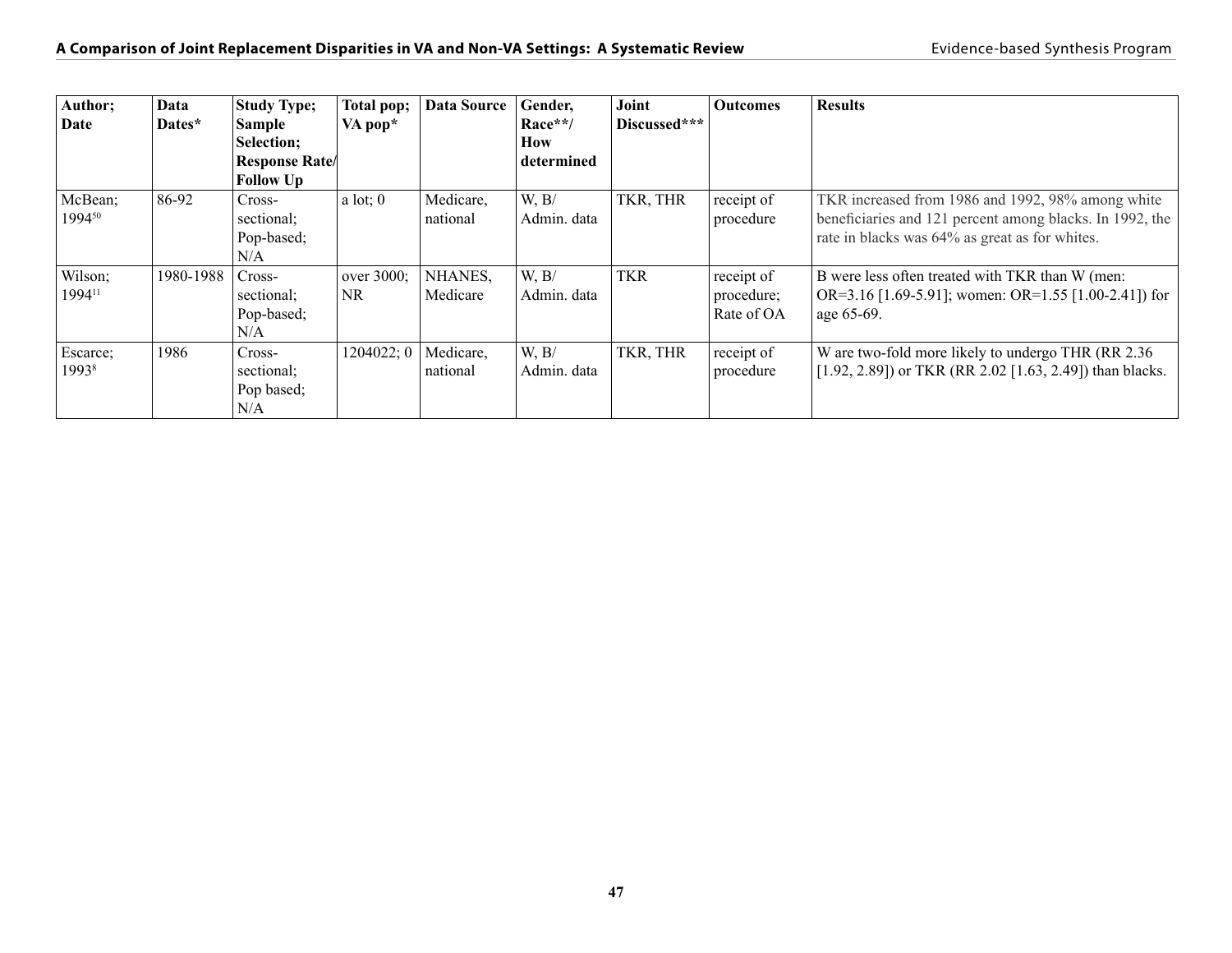| Author;<br>Date               | Data<br>Dates* | <b>Study Type;</b><br> Sample<br>Selection;<br><b>Response Rate</b><br><b>Follow Up</b> | Total pop;<br>VA pop* | <b>Data Source</b>    | Gender,<br>Race**/<br>How<br>determined | Joint<br>Discussed*** | <b>Outcomes</b>                        | <b>Results</b>                                                                                                                                                  |
|-------------------------------|----------------|-----------------------------------------------------------------------------------------|-----------------------|-----------------------|-----------------------------------------|-----------------------|----------------------------------------|-----------------------------------------------------------------------------------------------------------------------------------------------------------------|
| McBean;<br>199450             | 86-92          | Cross-<br>sectional;<br>Pop-based;<br>N/A                                               | a lot: 0              | Medicare,<br>national | W, B/<br>Admin. data                    | TKR, THR              | receipt of<br>procedure                | TKR increased from 1986 and 1992, 98% among white<br>beneficiaries and 121 percent among blacks. In 1992, the<br>rate in blacks was 64% as great as for whites. |
| Wilson;<br>1994 <sup>11</sup> | 1980-1988      | Cross-<br>sectional;<br>Pop-based;<br>N/A                                               | over 3000;<br>NR      | NHANES,<br>Medicare   | W, B/<br>Admin. data                    | TKR                   | receipt of<br>procedure;<br>Rate of OA | B were less often treated with TKR than W (men:<br>OR=3.16 [1.69-5.91]; women: OR=1.55 [1.00-2.41]) for<br>age 65-69.                                           |
| Escarce;<br>19938             | 1986           | Cross-<br>sectional;<br>Pop based;<br>N/A                                               | 1204022; 0            | Medicare,<br>national | W, B/<br>Admin. data                    | TKR, THR              | receipt of<br>procedure                | W are two-fold more likely to undergo THR (RR 2.36)<br>[1.92, 2.89]) or TKR (RR 2.02 [1.63, 2.49]) than blacks.                                                 |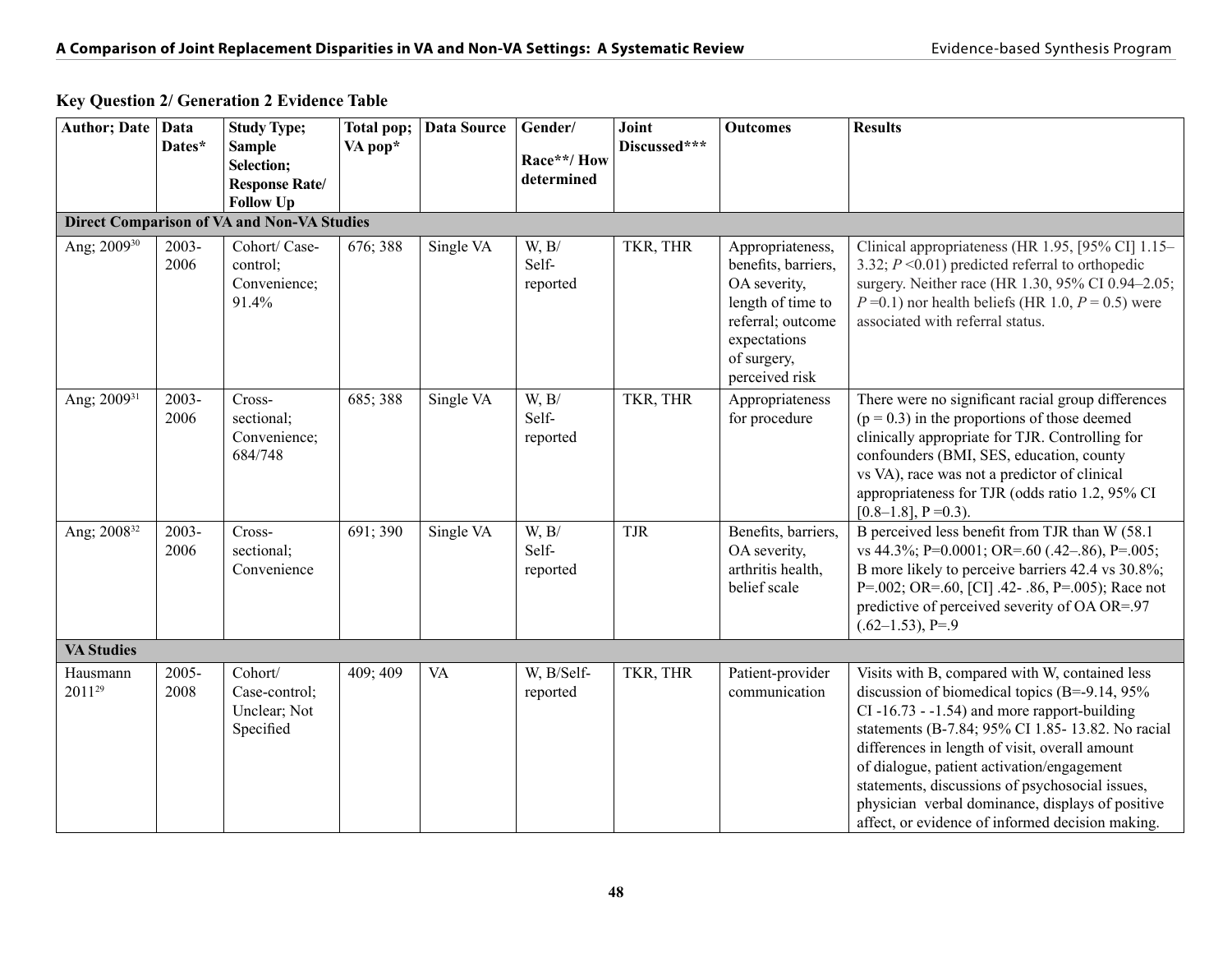| <b>Author; Date</b>     | <b>Data</b><br>Dates* | <b>Study Type;</b><br><b>Sample</b><br>Selection;<br><b>Response Rate/</b><br><b>Follow Up</b> | Total pop;<br>VA pop* | Data Source | Gender/<br>Race**/How<br>determined | Joint<br>Discussed*** | <b>Outcomes</b>                                                                                                                                    | <b>Results</b>                                                                                                                                                                                                                                                                                                                                                                                                                                                         |
|-------------------------|-----------------------|------------------------------------------------------------------------------------------------|-----------------------|-------------|-------------------------------------|-----------------------|----------------------------------------------------------------------------------------------------------------------------------------------------|------------------------------------------------------------------------------------------------------------------------------------------------------------------------------------------------------------------------------------------------------------------------------------------------------------------------------------------------------------------------------------------------------------------------------------------------------------------------|
|                         |                       | <b>Direct Comparison of VA and Non-VA Studies</b>                                              |                       |             |                                     |                       |                                                                                                                                                    |                                                                                                                                                                                                                                                                                                                                                                                                                                                                        |
| Ang; 2009 <sup>30</sup> | 2003-<br>2006         | Cohort/ Case-<br>control;<br>Convenience;<br>91.4%                                             | 676; 388              | Single VA   | W, B/<br>Self-<br>reported          | TKR, THR              | Appropriateness,<br>benefits, barriers,<br>OA severity,<br>length of time to<br>referral; outcome<br>expectations<br>of surgery,<br>perceived risk | Clinical appropriateness (HR 1.95, [95% CI] 1.15-<br>3.32; $P \le 0.01$ ) predicted referral to orthopedic<br>surgery. Neither race (HR 1.30, 95% CI 0.94-2.05;<br>$P=0.1$ ) nor health beliefs (HR 1.0, $P=0.5$ ) were<br>associated with referral status.                                                                                                                                                                                                            |
| Ang; 2009 <sup>31</sup> | 2003-<br>2006         | Cross-<br>sectional;<br>Convenience;<br>684/748                                                | 685; 388              | Single VA   | W, B/<br>Self-<br>reported          | TKR, THR              | Appropriateness<br>for procedure                                                                                                                   | There were no significant racial group differences<br>$(p = 0.3)$ in the proportions of those deemed<br>clinically appropriate for TJR. Controlling for<br>confounders (BMI, SES, education, county<br>vs VA), race was not a predictor of clinical<br>appropriateness for TJR (odds ratio 1.2, 95% CI<br>$[0.8-1.8]$ , P = 0.3).                                                                                                                                      |
| Ang; 2008 <sup>32</sup> | 2003-<br>2006         | Cross-<br>sectional;<br>Convenience                                                            | 691; 390              | Single VA   | W, B/<br>Self-<br>reported          | <b>TJR</b>            | Benefits, barriers,<br>OA severity,<br>arthritis health,<br>belief scale                                                                           | B perceived less benefit from TJR than W (58.1)<br>vs 44.3%; P=0.0001; OR=.60 (.42–.86), P=.005;<br>B more likely to perceive barriers 42.4 vs 30.8%;<br>P=.002; OR=.60, [CI] .42- .86, P=.005); Race not<br>predictive of perceived severity of OA OR=.97<br>$(.62-1.53)$ , P=.9                                                                                                                                                                                      |
| <b>VA Studies</b>       |                       |                                                                                                |                       |             |                                     |                       |                                                                                                                                                    |                                                                                                                                                                                                                                                                                                                                                                                                                                                                        |
| Hausmann<br>201129      | 2005-<br>2008         | Cohort/<br>Case-control;<br>Unclear; Not<br>Specified                                          | 409; 409              | <b>VA</b>   | W, B/Self-<br>reported              | TKR, THR              | Patient-provider<br>communication                                                                                                                  | Visits with B, compared with W, contained less<br>discussion of biomedical topics (B=-9.14, $95\%$ )<br>$CI - 16.73 - 1.54$ ) and more rapport-building<br>statements (B-7.84; 95% CI 1.85-13.82. No racial<br>differences in length of visit, overall amount<br>of dialogue, patient activation/engagement<br>statements, discussions of psychosocial issues,<br>physician verbal dominance, displays of positive<br>affect, or evidence of informed decision making. |

#### **Key Question 2/ Generation 2 Evidence Table**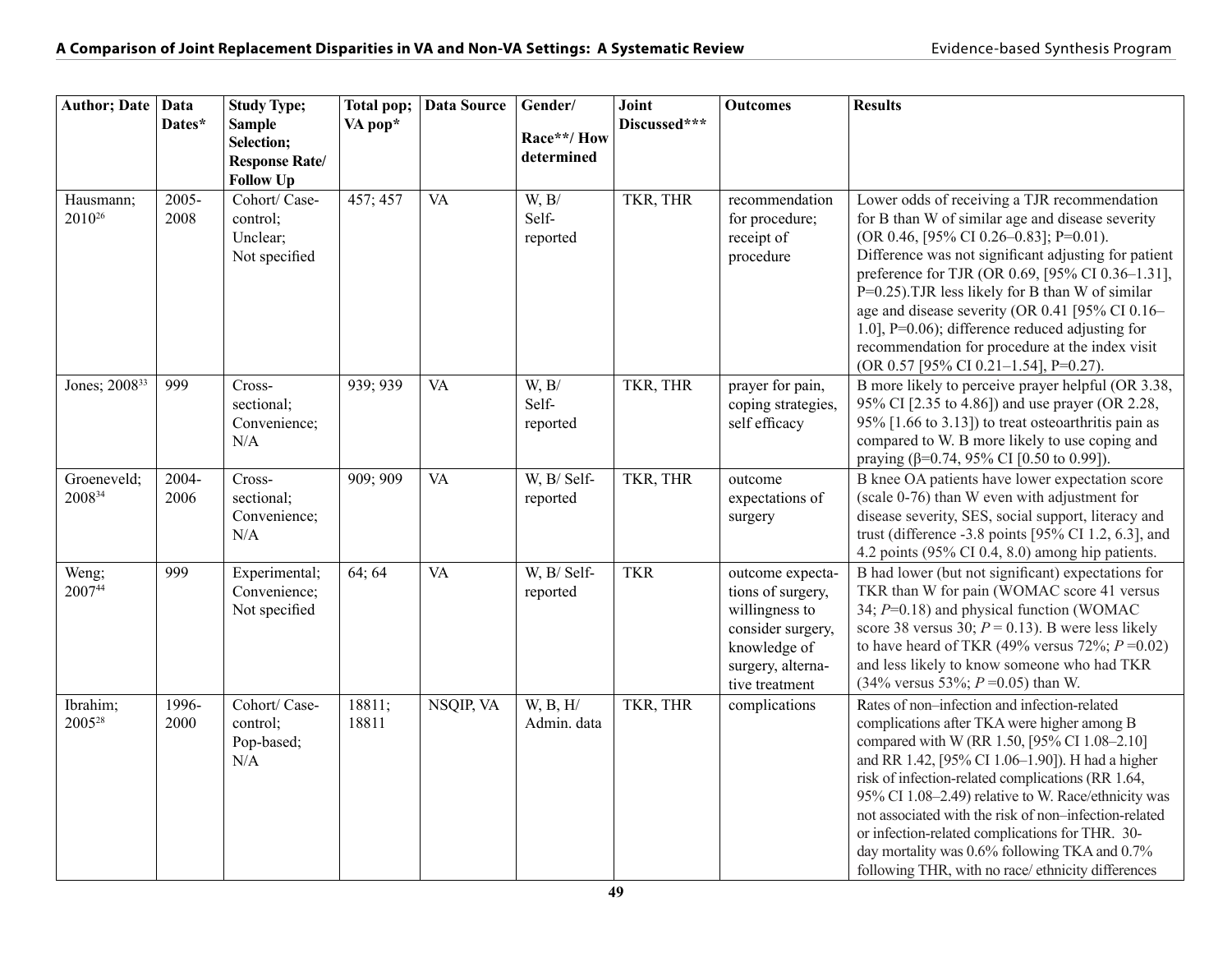| Author; Date Data               | Dates*        | <b>Study Type;</b><br><b>Sample</b><br>Selection;<br><b>Response Rate/</b><br><b>Follow Up</b> | Total pop;<br>VA pop* | <b>Data Source</b> | Gender/<br>Race**/How<br>determined | Joint<br>Discussed*** | <b>Outcomes</b>                                                                                                                     | <b>Results</b>                                                                                                                                                                                                                                                                                                                                                                                                                                                                                                                |
|---------------------------------|---------------|------------------------------------------------------------------------------------------------|-----------------------|--------------------|-------------------------------------|-----------------------|-------------------------------------------------------------------------------------------------------------------------------------|-------------------------------------------------------------------------------------------------------------------------------------------------------------------------------------------------------------------------------------------------------------------------------------------------------------------------------------------------------------------------------------------------------------------------------------------------------------------------------------------------------------------------------|
| Hausmann;<br>2010 <sup>26</sup> | 2005-<br>2008 | Cohort/ Case-<br>control;<br>Unclear;<br>Not specified                                         | 457; 457              | <b>VA</b>          | W, B/<br>Self-<br>reported          | TKR, THR              | recommendation<br>for procedure;<br>receipt of<br>procedure                                                                         | Lower odds of receiving a TJR recommendation<br>for B than W of similar age and disease severity<br>(OR 0.46, [95% CI 0.26-0.83]; P=0.01).<br>Difference was not significant adjusting for patient<br>preference for TJR (OR 0.69, [95% CI 0.36-1.31],<br>P=0.25). TJR less likely for B than W of similar<br>age and disease severity (OR 0.41 [95% CI 0.16-<br>1.0], $P=0.06$ ; difference reduced adjusting for<br>recommendation for procedure at the index visit<br>(OR 0.57 [95% CI 0.21-1.54], P=0.27).                |
| Jones; 2008 <sup>33</sup>       | 999           | Cross-<br>sectional;<br>Convenience;<br>N/A                                                    | 939; 939              | <b>VA</b>          | W, B/<br>Self-<br>reported          | TKR, THR              | prayer for pain,<br>coping strategies,<br>self efficacy                                                                             | B more likely to perceive prayer helpful (OR 3.38,<br>95% CI [2.35 to 4.86]) and use prayer (OR 2.28,<br>$95\%$ [1.66 to 3.13]) to treat osteoarthritis pain as<br>compared to W. B more likely to use coping and<br>praying ( $\beta$ =0.74, 95% CI [0.50 to 0.99]).                                                                                                                                                                                                                                                         |
| Groeneveld;<br>200834           | 2004-<br>2006 | Cross-<br>sectional;<br>Convenience;<br>N/A                                                    | 909; 909              | <b>VA</b>          | W, B/ Self-<br>reported             | TKR, THR              | outcome<br>expectations of<br>surgery                                                                                               | B knee OA patients have lower expectation score<br>(scale 0-76) than W even with adjustment for<br>disease severity, SES, social support, literacy and<br>trust (difference $-3.8$ points [95% CI 1.2, 6.3], and<br>4.2 points (95% CI 0.4, 8.0) among hip patients.                                                                                                                                                                                                                                                          |
| Weng;<br>200744                 | 999           | Experimental;<br>Convenience;<br>Not specified                                                 | 64; 64                | <b>VA</b>          | W, B/ Self-<br>reported             | <b>TKR</b>            | outcome expecta-<br>tions of surgery,<br>willingness to<br>consider surgery,<br>knowledge of<br>surgery, alterna-<br>tive treatment | B had lower (but not significant) expectations for<br>TKR than W for pain (WOMAC score 41 versus<br>34; $P=0.18$ ) and physical function (WOMAC<br>score 38 versus 30; $P = 0.13$ ). B were less likely<br>to have heard of TKR (49% versus 72%; $P = 0.02$ )<br>and less likely to know someone who had TKR<br>$(34\% \text{ versus } 53\%; P=0.05) \text{ than W.}$                                                                                                                                                         |
| Ibrahim;<br>2005 <sup>28</sup>  | 1996-<br>2000 | Cohort/ Case-<br>control;<br>Pop-based;<br>N/A                                                 | 18811;<br>18811       | NSQIP, VA          | W, B, H/<br>Admin. data             | TKR, THR              | complications                                                                                                                       | Rates of non-infection and infection-related<br>complications after TKA were higher among B<br>compared with W (RR 1.50, [95% CI 1.08-2.10]<br>and RR 1.42, [95% CI 1.06-1.90]). H had a higher<br>risk of infection-related complications (RR 1.64,<br>95% CI 1.08-2.49) relative to W. Race/ethnicity was<br>not associated with the risk of non-infection-related<br>or infection-related complications for THR. 30-<br>day mortality was 0.6% following TKA and 0.7%<br>following THR, with no race/ethnicity differences |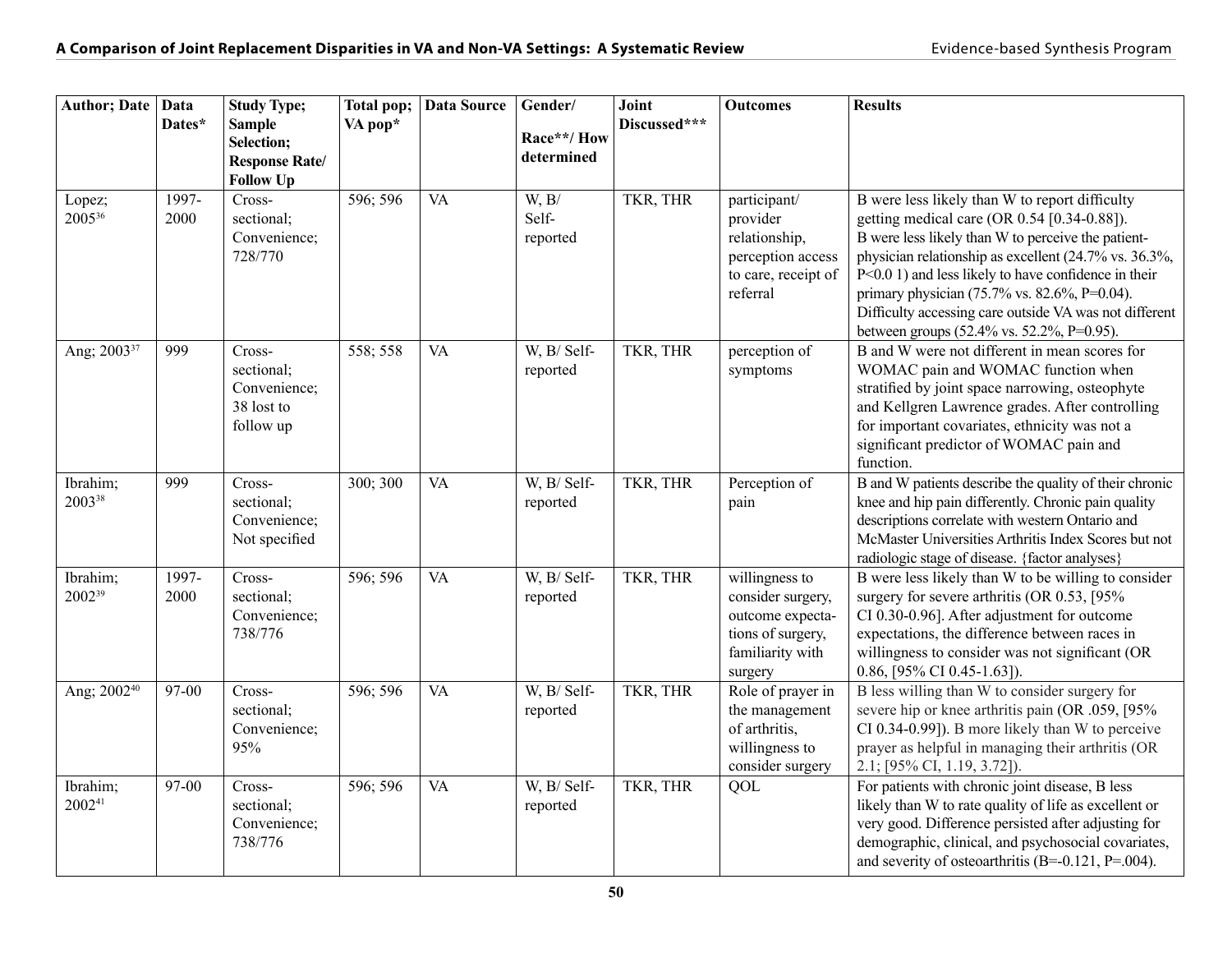| Author; Date   Data            | Dates*        | <b>Study Type;</b><br><b>Sample</b><br>Selection;<br><b>Response Rate/</b><br><b>Follow Up</b> | Total pop;<br>VA pop* | Data Source | Gender/<br>Race**/How<br>determined   | Joint<br>Discussed*** | <b>Outcomes</b>                                                                                             | <b>Results</b>                                                                                                                                                                                                                                                                                                                                                                                                              |
|--------------------------------|---------------|------------------------------------------------------------------------------------------------|-----------------------|-------------|---------------------------------------|-----------------------|-------------------------------------------------------------------------------------------------------------|-----------------------------------------------------------------------------------------------------------------------------------------------------------------------------------------------------------------------------------------------------------------------------------------------------------------------------------------------------------------------------------------------------------------------------|
| Lopez;<br>200536               | 1997-<br>2000 | Cross-<br>sectional;<br>Convenience;<br>728/770                                                | 596; 596              | <b>VA</b>   | W, B/<br>Self-<br>reported            | TKR, THR              | participant/<br>provider<br>relationship,<br>perception access<br>to care, receipt of<br>referral           | B were less likely than W to report difficulty<br>getting medical care (OR 0.54 [0.34-0.88]).<br>B were less likely than W to perceive the patient-<br>physician relationship as excellent (24.7% vs. 36.3%,<br>P<0.0 1) and less likely to have confidence in their<br>primary physician (75.7% vs. 82.6%, P=0.04).<br>Difficulty accessing care outside VA was not different<br>between groups (52.4% vs. 52.2%, P=0.95). |
| Ang; 2003 <sup>37</sup>        | 999           | Cross-<br>sectional;<br>Convenience;<br>38 lost to<br>follow up                                | 558; 558              | <b>VA</b>   | $\overline{W}$ , B/ Self-<br>reported | TKR, THR              | perception of<br>symptoms                                                                                   | B and W were not different in mean scores for<br>WOMAC pain and WOMAC function when<br>stratified by joint space narrowing, osteophyte<br>and Kellgren Lawrence grades. After controlling<br>for important covariates, ethnicity was not a<br>significant predictor of WOMAC pain and<br>function.                                                                                                                          |
| Ibrahim;<br>200338             | 999           | Cross-<br>sectional;<br>Convenience;<br>Not specified                                          | 300; 300              | VA          | W, B/ Self-<br>reported               | TKR, THR              | Perception of<br>pain                                                                                       | B and W patients describe the quality of their chronic<br>knee and hip pain differently. Chronic pain quality<br>descriptions correlate with western Ontario and<br>McMaster Universities Arthritis Index Scores but not<br>radiologic stage of disease. {factor analyses}                                                                                                                                                  |
| Ibrahim;<br>2002 <sup>39</sup> | 1997-<br>2000 | Cross-<br>sectional;<br>Convenience;<br>738/776                                                | 596; 596              | <b>VA</b>   | W, B/ Self-<br>reported               | TKR, THR              | willingness to<br>consider surgery,<br>outcome expecta-<br>tions of surgery,<br>familiarity with<br>surgery | B were less likely than W to be willing to consider<br>surgery for severe arthritis (OR $0.53$ , [95%]<br>CI 0.30-0.96]. After adjustment for outcome<br>expectations, the difference between races in<br>willingness to consider was not significant (OR<br>0.86, [95% CI 0.45-1.63]).                                                                                                                                     |
| Ang; 2002 <sup>40</sup>        | 97-00         | Cross-<br>sectional;<br>Convenience;<br>95%                                                    | 596; 596              | VA          | W, B/ Self-<br>reported               | TKR, THR              | Role of prayer in<br>the management<br>of arthritis,<br>willingness to<br>consider surgery                  | B less willing than W to consider surgery for<br>severe hip or knee arthritis pain (OR .059, [95%<br>CI 0.34-0.99]). B more likely than W to perceive<br>prayer as helpful in managing their arthritis (OR<br>2.1; [95% CI, 1.19, 3.72]).                                                                                                                                                                                   |
| Ibrahim;<br>200241             | 97-00         | Cross-<br>sectional;<br>Convenience;<br>738/776                                                | 596; 596              | VA          | W, B/ Self-<br>reported               | TKR, THR              | QOL                                                                                                         | For patients with chronic joint disease, B less<br>likely than W to rate quality of life as excellent or<br>very good. Difference persisted after adjusting for<br>demographic, clinical, and psychosocial covariates,<br>and severity of osteoarthritis (B=-0.121, P=.004).                                                                                                                                                |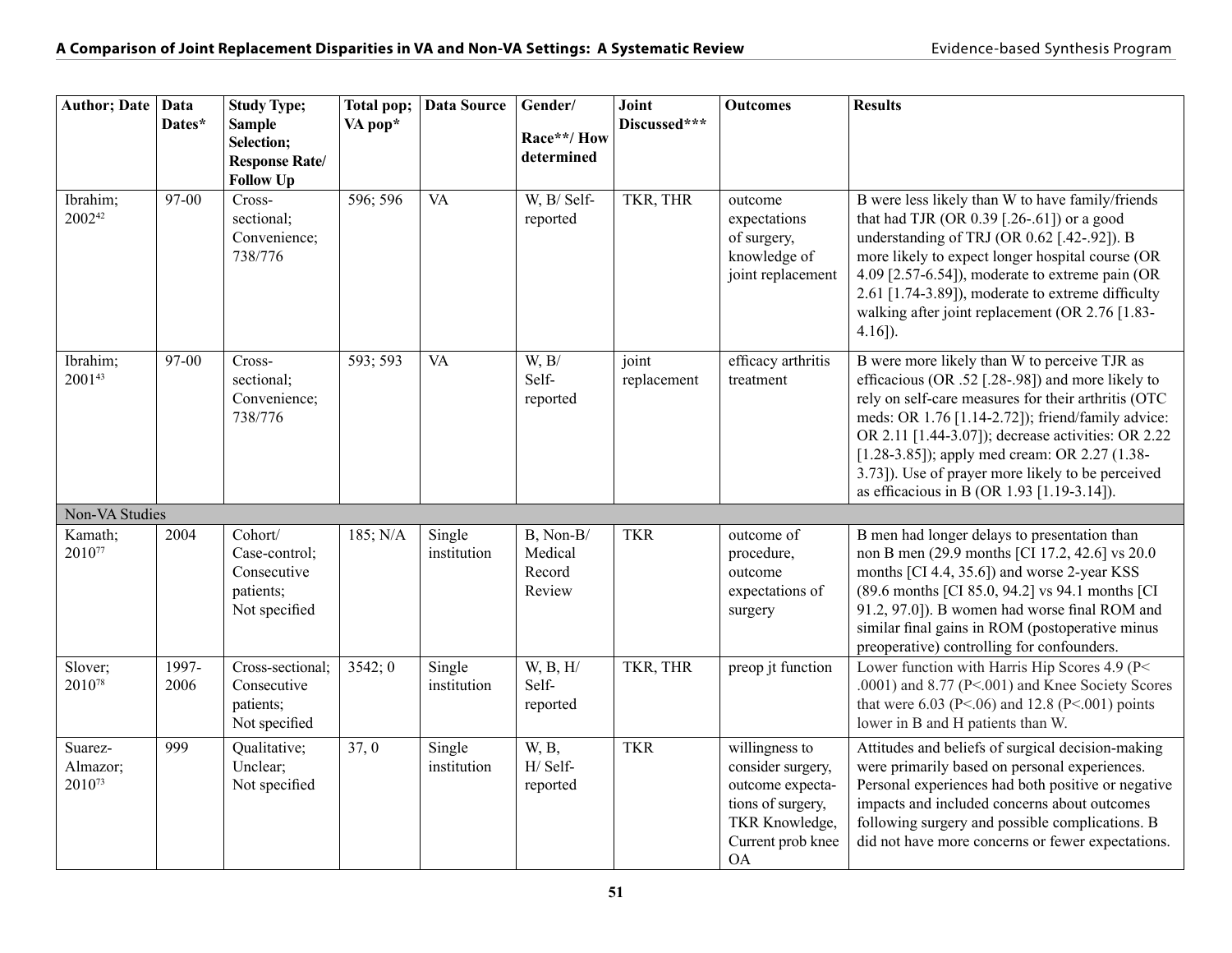| Author; Date   Data           | Dates*        | <b>Study Type;</b><br><b>Sample</b><br>Selection;<br><b>Response Rate/</b><br><b>Follow Up</b> | Total pop;<br>VA pop* | Data Source           | Gender/<br>Race**/How<br>determined      | Joint<br>Discussed*** | <b>Outcomes</b>                                                                                                                  | <b>Results</b>                                                                                                                                                                                                                                                                                                                                                                                                          |
|-------------------------------|---------------|------------------------------------------------------------------------------------------------|-----------------------|-----------------------|------------------------------------------|-----------------------|----------------------------------------------------------------------------------------------------------------------------------|-------------------------------------------------------------------------------------------------------------------------------------------------------------------------------------------------------------------------------------------------------------------------------------------------------------------------------------------------------------------------------------------------------------------------|
| Ibrahim;<br>200242            | 97-00         | Cross-<br>sectional;<br>Convenience;<br>738/776                                                | 596; 596              | <b>VA</b>             | W, B/ Self-<br>reported                  | TKR, THR              | outcome<br>expectations<br>of surgery,<br>knowledge of<br>joint replacement                                                      | B were less likely than W to have family/friends<br>that had TJR (OR 0.39 [.26-.61]) or a good<br>understanding of TRJ (OR 0.62 [.42-.92]). B<br>more likely to expect longer hospital course (OR<br>4.09 [2.57-6.54]), moderate to extreme pain (OR<br>2.61 [1.74-3.89]), moderate to extreme difficulty<br>walking after joint replacement (OR 2.76 [1.83-<br>$4.16$ ]).                                              |
| Ibrahim;<br>200143            | 97-00         | Cross-<br>sectional;<br>Convenience;<br>738/776                                                | 593; 593              | <b>VA</b>             | W, B/<br>Self-<br>reported               | joint<br>replacement  | efficacy arthritis<br>treatment                                                                                                  | B were more likely than W to perceive TJR as<br>efficacious (OR .52 [.28-.98]) and more likely to<br>rely on self-care measures for their arthritis (OTC<br>meds: OR 1.76 [1.14-2.72]); friend/family advice:<br>OR 2.11 [1.44-3.07]); decrease activities: OR 2.22<br>[1.28-3.85]); apply med cream: OR 2.27 (1.38-<br>3.73]). Use of prayer more likely to be perceived<br>as efficacious in B (OR 1.93 [1.19-3.14]). |
| Non-VA Studies                |               |                                                                                                |                       |                       |                                          |                       |                                                                                                                                  |                                                                                                                                                                                                                                                                                                                                                                                                                         |
| Kamath;<br>201077             | 2004          | Cohort/<br>Case-control;<br>Consecutive<br>patients;<br>Not specified                          | 185; N/A              | Single<br>institution | B, Non-B/<br>Medical<br>Record<br>Review | <b>TKR</b>            | outcome of<br>procedure,<br>outcome<br>expectations of<br>surgery                                                                | B men had longer delays to presentation than<br>non B men (29.9 months [CI 17.2, 42.6] vs 20.0<br>months [CI 4.4, 35.6]) and worse 2-year KSS<br>(89.6 months [CI 85.0, 94.2] vs 94.1 months [CI<br>91.2, 97.0]). B women had worse final ROM and<br>similar final gains in ROM (postoperative minus<br>preoperative) controlling for confounders.                                                                      |
| Slover;<br>201078             | 1997-<br>2006 | Cross-sectional;<br>Consecutive<br>patients;<br>Not specified                                  | 3542;0                | Single<br>institution | W, B, H/<br>Self-<br>reported            | TKR, THR              | preop jt function                                                                                                                | Lower function with Harris Hip Scores 4.9 (P<<br>.0001) and 8.77 (P<.001) and Knee Society Scores<br>that were 6.03 (P<.06) and 12.8 (P<.001) points<br>lower in B and H patients than W.                                                                                                                                                                                                                               |
| Suarez-<br>Almazor;<br>201073 | 999           | Qualitative;<br>Unclear;<br>Not specified                                                      | 37,0                  | Single<br>institution | W, B,<br>H/ Self-<br>reported            | <b>TKR</b>            | willingness to<br>consider surgery,<br>outcome expecta-<br>tions of surgery,<br>TKR Knowledge,<br>Current prob knee<br><b>OA</b> | Attitudes and beliefs of surgical decision-making<br>were primarily based on personal experiences.<br>Personal experiences had both positive or negative<br>impacts and included concerns about outcomes<br>following surgery and possible complications. B<br>did not have more concerns or fewer expectations.                                                                                                        |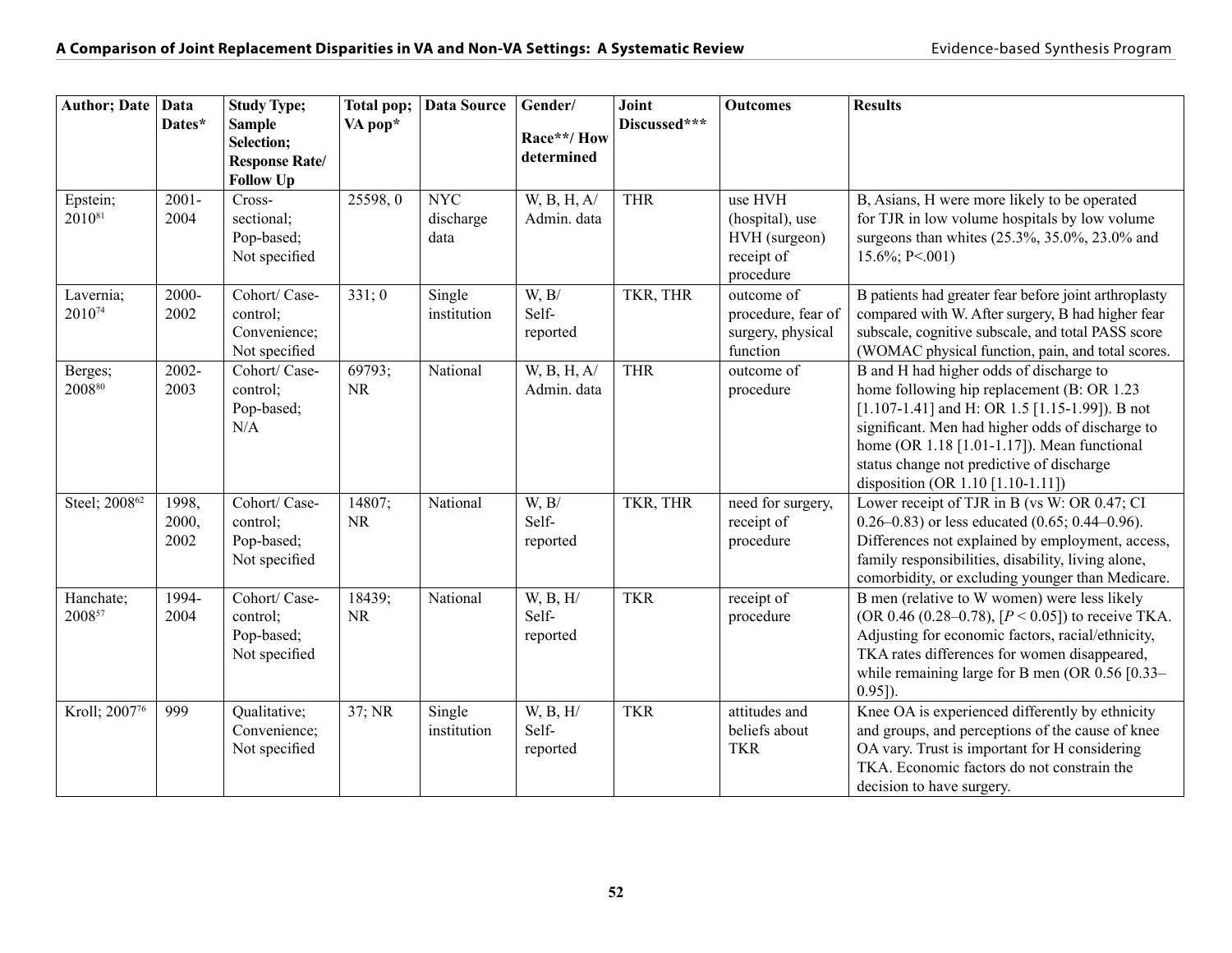| <b>Author; Date</b>       | Data<br>Dates*         | <b>Study Type;</b><br><b>Sample</b><br>Selection;          | Total pop;<br>VA pop* | Data Source                     | Gender/<br>Race**/How         | Joint<br>Discussed*** | <b>Outcomes</b>                                                        | <b>Results</b>                                                                                                                                                                                                                                                                                                                            |
|---------------------------|------------------------|------------------------------------------------------------|-----------------------|---------------------------------|-------------------------------|-----------------------|------------------------------------------------------------------------|-------------------------------------------------------------------------------------------------------------------------------------------------------------------------------------------------------------------------------------------------------------------------------------------------------------------------------------------|
|                           |                        | <b>Response Rate/</b><br><b>Follow Up</b>                  |                       |                                 | determined                    |                       |                                                                        |                                                                                                                                                                                                                                                                                                                                           |
| Epstein;<br>201081        | $2001 -$<br>2004       | Cross-<br>sectional;<br>Pop-based;<br>Not specified        | 25598,0               | <b>NYC</b><br>discharge<br>data | W, B, H, A<br>Admin. data     | <b>THR</b>            | use HVH<br>(hospital), use<br>HVH (surgeon)<br>receipt of<br>procedure | B, Asians, H were more likely to be operated<br>for TJR in low volume hospitals by low volume<br>surgeons than whites (25.3%, 35.0%, 23.0% and<br>15.6%; P<.001)                                                                                                                                                                          |
| Lavernia;<br>201074       | 2000-<br>2002          | Cohort/ Case-<br>control;<br>Convenience;<br>Not specified | 331:0                 | Single<br>institution           | W, B/<br>Self-<br>reported    | TKR, THR              | outcome of<br>procedure, fear of<br>surgery, physical<br>function      | B patients had greater fear before joint arthroplasty<br>compared with W. After surgery, B had higher fear<br>subscale, cognitive subscale, and total PASS score<br>(WOMAC physical function, pain, and total scores.                                                                                                                     |
| Berges;<br>$2008^{80}$    | $2002 -$<br>2003       | Cohort/ Case-<br>control;<br>Pop-based;<br>N/A             | 69793;<br><b>NR</b>   | National                        | W, B, H, A/<br>Admin. data    | <b>THR</b>            | outcome of<br>procedure                                                | B and H had higher odds of discharge to<br>home following hip replacement (B: OR 1.23)<br>[ $1.107 - 1.41$ ] and H: OR 1.5 [ $1.15 - 1.99$ ]). B not<br>significant. Men had higher odds of discharge to<br>home (OR 1.18 [1.01-1.17]). Mean functional<br>status change not predictive of discharge<br>disposition (OR 1.10 [1.10-1.11]) |
| Steel; 2008 <sup>62</sup> | 1998,<br>2000,<br>2002 | Cohort/ Case-<br>control;<br>Pop-based;<br>Not specified   | 14807;<br><b>NR</b>   | National                        | W, B/<br>Self-<br>reported    | TKR, THR              | need for surgery,<br>receipt of<br>procedure                           | Lower receipt of TJR in B (vs W: OR 0.47; CI<br>$0.26-0.83$ or less educated $(0.65; 0.44-0.96)$ .<br>Differences not explained by employment, access,<br>family responsibilities, disability, living alone,<br>comorbidity, or excluding younger than Medicare.                                                                          |
| Hanchate;<br>200857       | 1994-<br>2004          | Cohort/ Case-<br>control;<br>Pop-based;<br>Not specified   | 18439;<br><b>NR</b>   | National                        | W, B, H/<br>Self-<br>reported | <b>TKR</b>            | receipt of<br>procedure                                                | B men (relative to W women) were less likely<br>(OR 0.46 (0.28–0.78), $[P < 0.05]$ ) to receive TKA.<br>Adjusting for economic factors, racial/ethnicity,<br>TKA rates differences for women disappeared,<br>while remaining large for B men (OR 0.56 [0.33-<br>$0.95$ ]).                                                                |
| Kroll; 2007 <sup>76</sup> | 999                    | Qualitative;<br>Convenience;<br>Not specified              | 37; NR                | Single<br>institution           | W, B, H/<br>Self-<br>reported | <b>TKR</b>            | attitudes and<br>beliefs about<br><b>TKR</b>                           | Knee OA is experienced differently by ethnicity<br>and groups, and perceptions of the cause of knee<br>OA vary. Trust is important for H considering<br>TKA. Economic factors do not constrain the<br>decision to have surgery.                                                                                                           |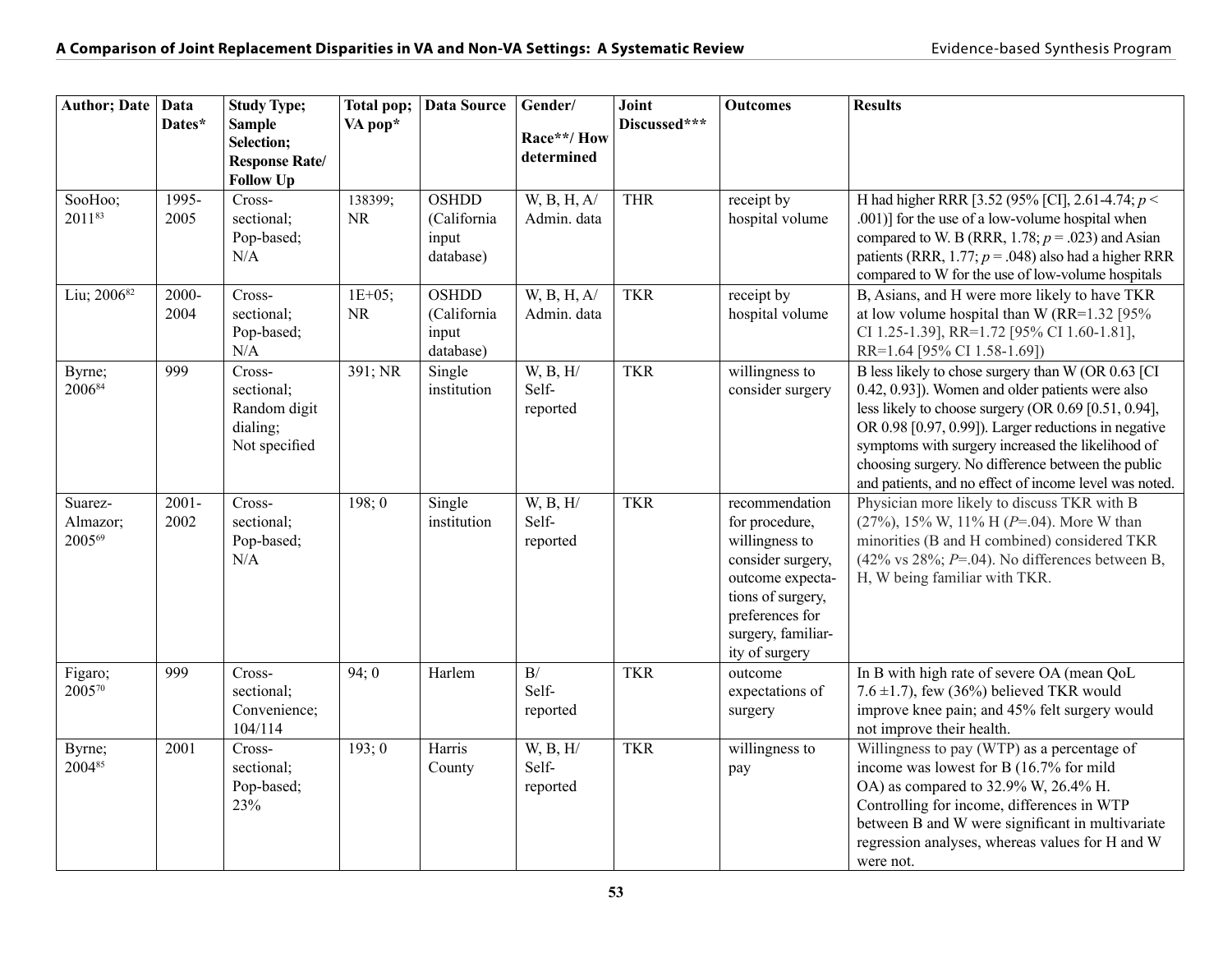| <b>Author</b> ; Date   Data   | Dates*           | <b>Study Type;</b><br><b>Sample</b><br>Selection;<br><b>Response Rate/</b> | Total pop;<br>VA pop* | <b>Data Source</b>                                | Gender/<br>Race**/How<br>determined | Joint<br>Discussed*** | <b>Outcomes</b>                                                                                                                                                             | <b>Results</b>                                                                                                                                                                                                                                                                                                                                                                                |
|-------------------------------|------------------|----------------------------------------------------------------------------|-----------------------|---------------------------------------------------|-------------------------------------|-----------------------|-----------------------------------------------------------------------------------------------------------------------------------------------------------------------------|-----------------------------------------------------------------------------------------------------------------------------------------------------------------------------------------------------------------------------------------------------------------------------------------------------------------------------------------------------------------------------------------------|
| SooHoo;<br>201183             | 1995-<br>2005    | <b>Follow Up</b><br>Cross-<br>sectional;<br>Pop-based;<br>N/A              | 138399;<br><b>NR</b>  | <b>OSHDD</b><br>(California<br>input<br>database) | W, B, H, A/<br>Admin. data          | <b>THR</b>            | receipt by<br>hospital volume                                                                                                                                               | H had higher RRR [3.52 (95% [CI], 2.61-4.74; p <<br>.001)] for the use of a low-volume hospital when<br>compared to W. B (RRR, 1.78; $p = .023$ ) and Asian<br>patients (RRR, 1.77; $p = .048$ ) also had a higher RRR<br>compared to W for the use of low-volume hospitals                                                                                                                   |
| Liu; 2006 <sup>82</sup>       | 2000-<br>2004    | Cross-<br>sectional;<br>Pop-based;<br>N/A                                  | $1E+05;$<br>NR        | <b>OSHDD</b><br>(California<br>input<br>database) | W, B, H, A<br>Admin. data           | <b>TKR</b>            | receipt by<br>hospital volume                                                                                                                                               | B, Asians, and H were more likely to have TKR<br>at low volume hospital than W (RR= $1.32$ [95%<br>CI 1.25-1.39], RR=1.72 [95% CI 1.60-1.81],<br>RR=1.64 [95% CI 1.58-1.69])                                                                                                                                                                                                                  |
| Byrne;<br>200684              | 999              | Cross-<br>sectional;<br>Random digit<br>dialing;<br>Not specified          | 391; NR               | Single<br>institution                             | W, B, H/<br>Self-<br>reported       | <b>TKR</b>            | willingness to<br>consider surgery                                                                                                                                          | B less likely to chose surgery than W (OR 0.63 [CI<br>0.42, 0.93]). Women and older patients were also<br>less likely to choose surgery (OR $0.69$ [0.51, 0.94],<br>OR 0.98 [0.97, 0.99]). Larger reductions in negative<br>symptoms with surgery increased the likelihood of<br>choosing surgery. No difference between the public<br>and patients, and no effect of income level was noted. |
| Suarez-<br>Almazor;<br>200569 | $2001 -$<br>2002 | Cross-<br>sectional;<br>Pop-based;<br>N/A                                  | 198:0                 | Single<br>institution                             | W, B, H/<br>Self-<br>reported       | <b>TKR</b>            | recommendation<br>for procedure,<br>willingness to<br>consider surgery,<br>outcome expecta-<br>tions of surgery,<br>preferences for<br>surgery, familiar-<br>ity of surgery | Physician more likely to discuss TKR with B<br>$(27\%)$ , 15% W, 11% H (P=.04). More W than<br>minorities (B and H combined) considered TKR<br>$(42\% \text{ vs } 28\%; P=.04)$ . No differences between B,<br>H, W being familiar with TKR.                                                                                                                                                  |
| Figaro;<br>200570             | 999              | Cross-<br>sectional;<br>Convenience;<br>104/114                            | 94;0                  | Harlem                                            | B/<br>Self-<br>reported             | <b>TKR</b>            | outcome<br>expectations of<br>surgery                                                                                                                                       | In B with high rate of severe OA (mean QoL<br>7.6 $\pm$ 1.7), few (36%) believed TKR would<br>improve knee pain; and 45% felt surgery would<br>not improve their health.                                                                                                                                                                                                                      |
| Byrne;<br>200485              | 2001             | Cross-<br>sectional;<br>Pop-based;<br>23%                                  | 193;0                 | Harris<br>County                                  | W, B, H/<br>Self-<br>reported       | <b>TKR</b>            | willingness to<br>pay                                                                                                                                                       | Willingness to pay (WTP) as a percentage of<br>income was lowest for B (16.7% for mild<br>OA) as compared to 32.9% W, 26.4% H.<br>Controlling for income, differences in WTP<br>between B and W were significant in multivariate<br>regression analyses, whereas values for H and W<br>were not.                                                                                              |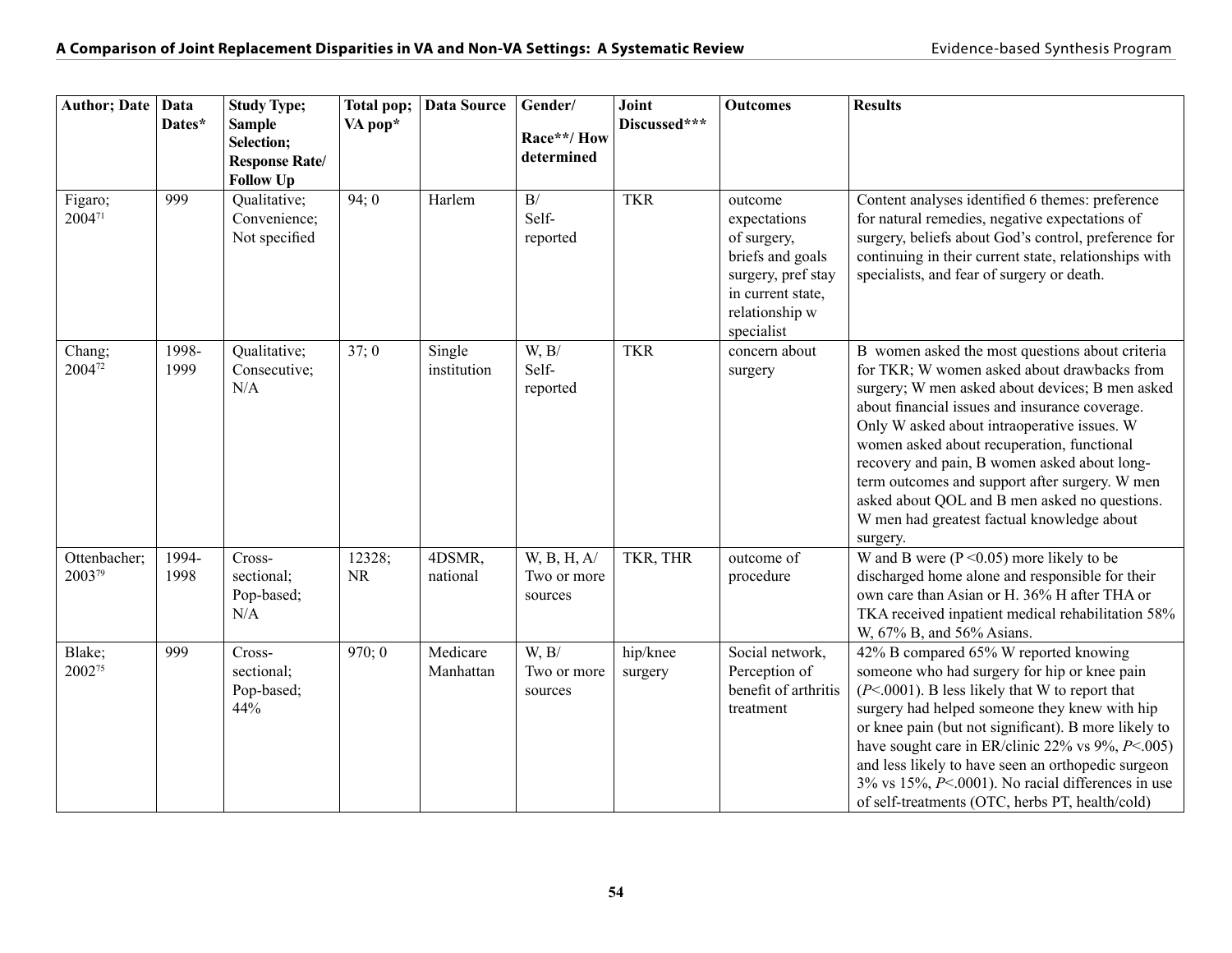| Author; Date   Data    | Dates*        | <b>Study Type;</b><br><b>Sample</b><br>Selection;<br><b>Response Rate/</b><br><b>Follow Up</b> | Total pop;<br>VA pop* | Data Source           | Gender/<br>Race**/How<br>determined            | Joint<br>Discussed*** | <b>Outcomes</b>                                                                                                                       | <b>Results</b>                                                                                                                                                                                                                                                                                                                                                                                                                                                                                                |
|------------------------|---------------|------------------------------------------------------------------------------------------------|-----------------------|-----------------------|------------------------------------------------|-----------------------|---------------------------------------------------------------------------------------------------------------------------------------|---------------------------------------------------------------------------------------------------------------------------------------------------------------------------------------------------------------------------------------------------------------------------------------------------------------------------------------------------------------------------------------------------------------------------------------------------------------------------------------------------------------|
| Figaro;<br>200471      | 999           | Qualitative;<br>Convenience;<br>Not specified                                                  | 94:0                  | Harlem                | $\mathbf{B}/% \mathbf{B}$<br>Self-<br>reported | <b>TKR</b>            | outcome<br>expectations<br>of surgery,<br>briefs and goals<br>surgery, pref stay<br>in current state,<br>relationship w<br>specialist | Content analyses identified 6 themes: preference<br>for natural remedies, negative expectations of<br>surgery, beliefs about God's control, preference for<br>continuing in their current state, relationships with<br>specialists, and fear of surgery or death.                                                                                                                                                                                                                                             |
| Chang;<br>200472       | 1998-<br>1999 | Qualitative;<br>Consecutive;<br>N/A                                                            | 37;0                  | Single<br>institution | W, B/<br>Self-<br>reported                     | <b>TKR</b>            | concern about<br>surgery                                                                                                              | B women asked the most questions about criteria<br>for TKR; W women asked about drawbacks from<br>surgery; W men asked about devices; B men asked<br>about financial issues and insurance coverage.<br>Only W asked about intraoperative issues. W<br>women asked about recuperation, functional<br>recovery and pain, B women asked about long-<br>term outcomes and support after surgery. W men<br>asked about QOL and B men asked no questions.<br>W men had greatest factual knowledge about<br>surgery. |
| Ottenbacher;<br>200379 | 1994-<br>1998 | Cross-<br>sectional;<br>Pop-based;<br>N/A                                                      | 12328;<br><b>NR</b>   | 4DSMR,<br>national    | W, B, H, A/<br>Two or more<br>sources          | TKR, THR              | outcome of<br>procedure                                                                                                               | W and B were $(P < 0.05)$ more likely to be<br>discharged home alone and responsible for their<br>own care than Asian or H. 36% H after THA or<br>TKA received inpatient medical rehabilitation 58%<br>W, 67% B, and 56% Asians.                                                                                                                                                                                                                                                                              |
| Blake;<br>200275       | 999           | Cross-<br>sectional;<br>Pop-based;<br>44%                                                      | 970;0                 | Medicare<br>Manhattan | W, B/<br>Two or more<br>sources                | hip/knee<br>surgery   | Social network,<br>Perception of<br>benefit of arthritis<br>treatment                                                                 | 42% B compared 65% W reported knowing<br>someone who had surgery for hip or knee pain<br>$(P<.0001)$ . B less likely that W to report that<br>surgery had helped someone they knew with hip<br>or knee pain (but not significant). B more likely to<br>have sought care in ER/clinic 22% vs $9\%, P < .005$ )<br>and less likely to have seen an orthopedic surgeon<br>$3\%$ vs $15\%, P < .0001$ ). No racial differences in use<br>of self-treatments (OTC, herbs PT, health/cold)                          |